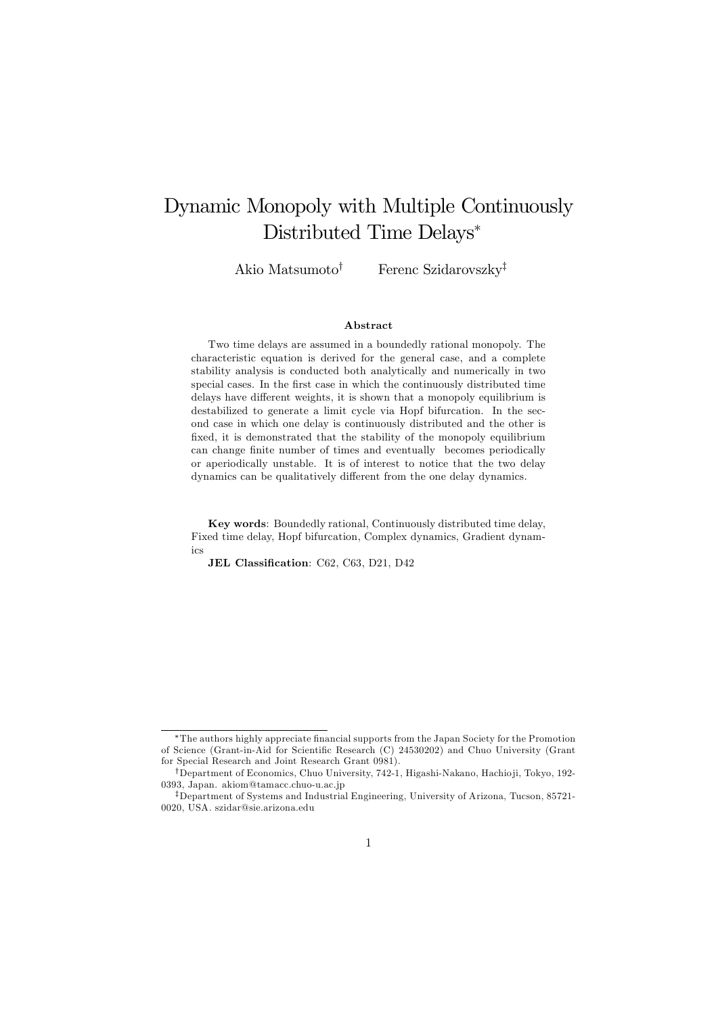# Dynamic Monopoly with Multiple Continuously Distributed Time Delays<sup>∗</sup>

Akio Matsumoto<sup>†</sup> Ferenc Szidarovszky<sup>‡</sup>

#### Abstract

Two time delays are assumed in a boundedly rational monopoly. The characteristic equation is derived for the general case, and a complete stability analysis is conducted both analytically and numerically in two special cases. In the first case in which the continuously distributed time delays have different weights, it is shown that a monopoly equilibrium is destabilized to generate a limit cycle via Hopf bifurcation. In the second case in which one delay is continuously distributed and the other is fixed, it is demonstrated that the stability of the monopoly equilibrium can change finite number of times and eventually becomes periodically or aperiodically unstable. It is of interest to notice that the two delay dynamics can be qualitatively different from the one delay dynamics.

Key words: Boundedly rational, Continuously distributed time delay, Fixed time delay, Hopf bifurcation, Complex dynamics, Gradient dynamics

JEL Classification: C62, C63, D21, D42

The authors highly appreciate financial supports from the Japan Society for the Promotion of Science (Grant-in-Aid for Scientific Research (C) 24530202) and Chuo University (Grant for Special Research and Joint Research Grant 0981).

<sup>†</sup>Department of Economics, Chuo University, 742-1, Higashi-Nakano, Hachio ji, Tokyo, 192- 0393, Japan. akiom@tamacc.chuo-u.ac.jp

<sup>‡</sup>Department of Systems and Industrial Engineering, University of Arizona, Tucson, 85721- 0020, USA. szidar@sie.arizona.edu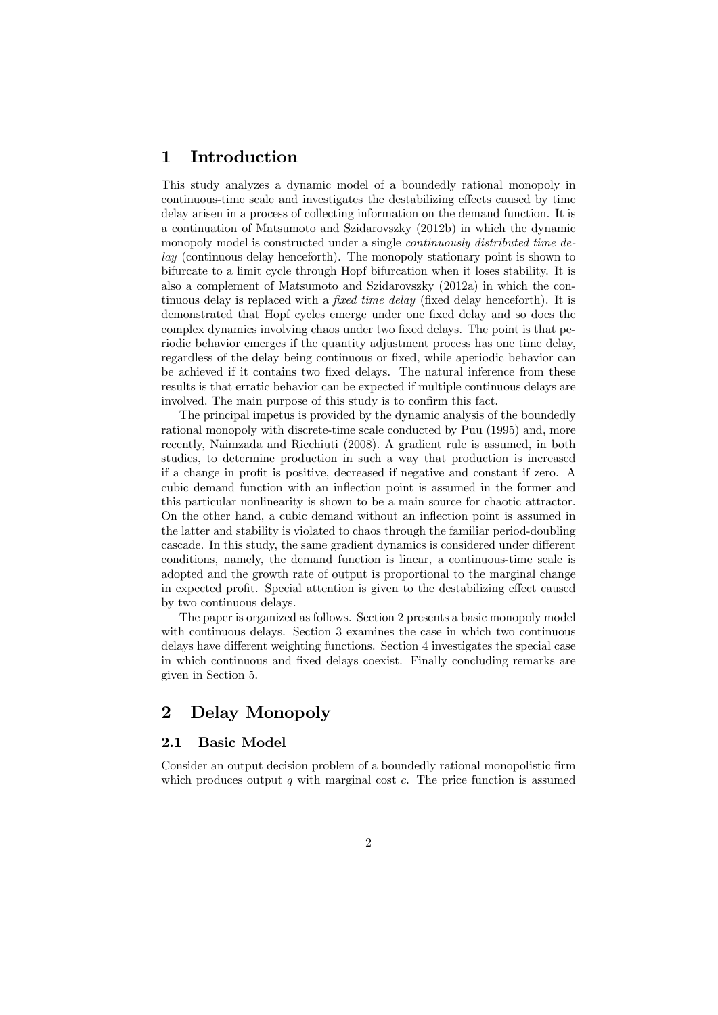# 1 Introduction

This study analyzes a dynamic model of a boundedly rational monopoly in continuous-time scale and investigates the destabilizing effects caused by time delay arisen in a process of collecting information on the demand function. It is a continuation of Matsumoto and Szidarovszky (2012b) in which the dynamic monopoly model is constructed under a single *continuously distributed time delay* (continuous delay henceforth). The monopoly stationary point is shown to bifurcate to a limit cycle through Hopf bifurcation when it loses stability. It is also a complement of Matsumoto and Szidarovszky (2012a) in which the continuous delay is replaced with a *fixed time delay* (fixed delay henceforth). It is demonstrated that Hopf cycles emerge under one fixed delay and so does the complex dynamics involving chaos under two fixed delays. The point is that periodic behavior emerges if the quantity adjustment process has one time delay, regardless of the delay being continuous or fixed, while aperiodic behavior can be achieved if it contains two fixed delays. The natural inference from these results is that erratic behavior can be expected if multiple continuous delays are involved. The main purpose of this study is to confirm this fact.

The principal impetus is provided by the dynamic analysis of the boundedly rational monopoly with discrete-time scale conducted by Puu (1995) and, more recently, Naimzada and Ricchiuti (2008). A gradient rule is assumed, in both studies, to determine production in such a way that production is increased if a change in profit is positive, decreased if negative and constant if zero. A cubic demand function with an inflection point is assumed in the former and this particular nonlinearity is shown to be a main source for chaotic attractor. On the other hand, a cubic demand without an inflection point is assumed in the latter and stability is violated to chaos through the familiar period-doubling cascade. In this study, the same gradient dynamics is considered under different conditions, namely, the demand function is linear, a continuous-time scale is adopted and the growth rate of output is proportional to the marginal change in expected profit. Special attention is given to the destabilizing effect caused by two continuous delays.

The paper is organized as follows. Section 2 presents a basic monopoly model with continuous delays. Section 3 examines the case in which two continuous delays have different weighting functions. Section 4 investigates the special case in which continuous and fixed delays coexist. Finally concluding remarks are given in Section 5.

# 2 Delay Monopoly

### 2.1 Basic Model

Consider an output decision problem of a boundedly rational monopolistic firm which produces output  $q$  with marginal cost  $c$ . The price function is assumed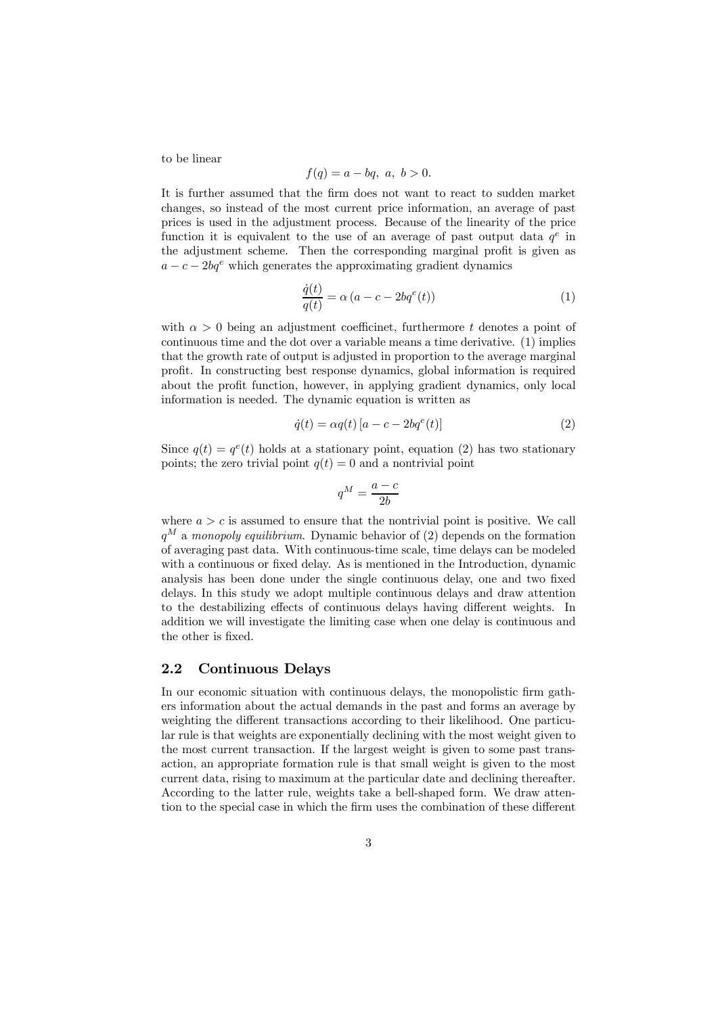to be linear

$$
f(q) = a - bq, \ a, \ b > 0.
$$

It is further assumed that the firm does not want to react to sudden market changes, so instead of the most current price information, an average of past prices is used in the adjustment process. Because of the linearity of the price function it is equivalent to the use of an average of past output data  $q^e$  in the adjustment scheme. Then the corresponding marginal profit is given as  $a - c - 2bq^e$  which generates the approximating gradient dynamics

$$
\frac{\dot{q}(t)}{q(t)} = \alpha (a - c - 2bq^{e}(t))
$$
\n(1)

with  $\alpha > 0$  being an adjustment coefficinet, furthermore t denotes a point of continuous time and the dot over a variable means a time derivative. (1) implies that the growth rate of output is adjusted in proportion to the average marginal profit. In constructing best response dynamics, global information is required about the profit function, however, in applying gradient dynamics, only local information is needed. The dynamic equation is written as

$$
\dot{q}(t) = \alpha q(t) \left[ a - c - 2bq^{e}(t) \right] \tag{2}
$$

Since  $q(t) = q^e(t)$  holds at a stationary point, equation (2) has two stationary points; the zero trivial point  $q(t) = 0$  and a nontrivial point

$$
q^M = \frac{a-c}{2b}
$$

where  $a > c$  is assumed to ensure that the nontrivial point is positive. We call  $q^M$  a *monopoly equilibrium*. Dynamic behavior of (2) depends on the formation of averaging past data. With continuous-time scale, time delays can be modeled with a continuous or fixed delay. As is mentioned in the Introduction, dynamic analysis has been done under the single continuous delay, one and two fixed delays. In this study we adopt multiple continuous delays and draw attention to the destabilizing effects of continuous delays having different weights. In addition we will investigate the limiting case when one delay is continuous and the other is fixed.

### 2.2 Continuous Delays

In our economic situation with continuous delays, the monopolistic firm gathers information about the actual demands in the past and forms an average by weighting the different transactions according to their likelihood. One particular rule is that weights are exponentially declining with the most weight given to the most current transaction. If the largest weight is given to some past transaction, an appropriate formation rule is that small weight is given to the most current data, rising to maximum at the particular date and declining thereafter. According to the latter rule, weights take a bell-shaped form. We draw attention to the special case in which the firm uses the combination of these different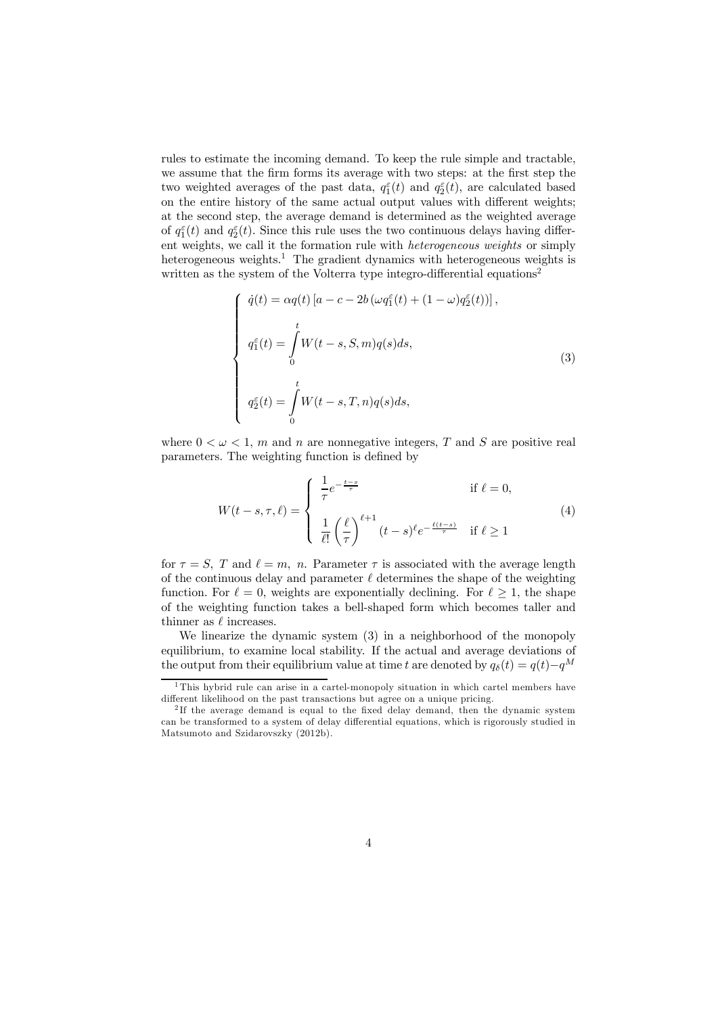rules to estimate the incoming demand. To keep the rule simple and tractable, we assume that the firm forms its average with two steps: at the first step the two weighted averages of the past data,  $q_1^{\varepsilon}(t)$  and  $q_2^{\varepsilon}(t)$ , are calculated based on the entire history of the same actual output values with different weights; at the second step, the average demand is determined as the weighted average of  $q_1^{\varepsilon}(t)$  and  $q_2^{\varepsilon}(t)$ . Since this rule uses the two continuous delays having different weights, we call it the formation rule with *heterogeneous weights* or simply heterogeneous weights.<sup>1</sup> The gradient dynamics with heterogeneous weights is written as the system of the Volterra type integro-differential equations<sup>2</sup>

$$
\begin{cases}\n\dot{q}(t) = \alpha q(t) \left[a - c - 2b \left(\omega q_1^{\varepsilon}(t) + (1 - \omega) q_2^{\varepsilon}(t)\right)\right], \\
\int_{0}^{t} q_1^{\varepsilon}(t) = \int_{0}^{t} W(t - s, S, m) q(s) ds, \\
\int_{0}^{t} q_2^{\varepsilon}(t) = \int_{0}^{t} W(t - s, T, n) q(s) ds,\n\end{cases} \tag{3}
$$

where  $0 < \omega < 1$ , m and n are nonnegative integers, T and S are positive real parameters. The weighting function is defined by

$$
W(t-s,\tau,\ell) = \begin{cases} \frac{1}{\tau} e^{-\frac{t-s}{\tau}} & \text{if } \ell = 0, \\ \frac{1}{\ell!} \left(\frac{\ell}{\tau}\right)^{\ell+1} (t-s)^{\ell} e^{-\frac{\ell(t-s)}{\tau}} & \text{if } \ell \ge 1 \end{cases}
$$
(4)

for  $\tau = S$ , T and  $\ell = m$ , n. Parameter  $\tau$  is associated with the average length of the continuous delay and parameter  $\ell$  determines the shape of the weighting function. For  $\ell = 0$ , weights are exponentially declining. For  $\ell \geq 1$ , the shape of the weighting function takes a bell-shaped form which becomes taller and thinner as  $\ell$  increases.

We linearize the dynamic system (3) in a neighborhood of the monopoly equilibrium, to examine local stability. If the actual and average deviations of the output from their equilibrium value at time t are denoted by  $q_\delta(t) = q(t) - q^M$ 

<sup>1</sup> This hybrid rule can arise in a cartel-monopoly situation in which cartel members have different likelihood on the past transactions but agree on a unique pricing.

<sup>&</sup>lt;sup>2</sup>If the average demand is equal to the fixed delay demand, then the dynamic system can be transformed to a system of delay differential equations, which is rigorously studied in Matsumoto and Szidarovszky (2012b).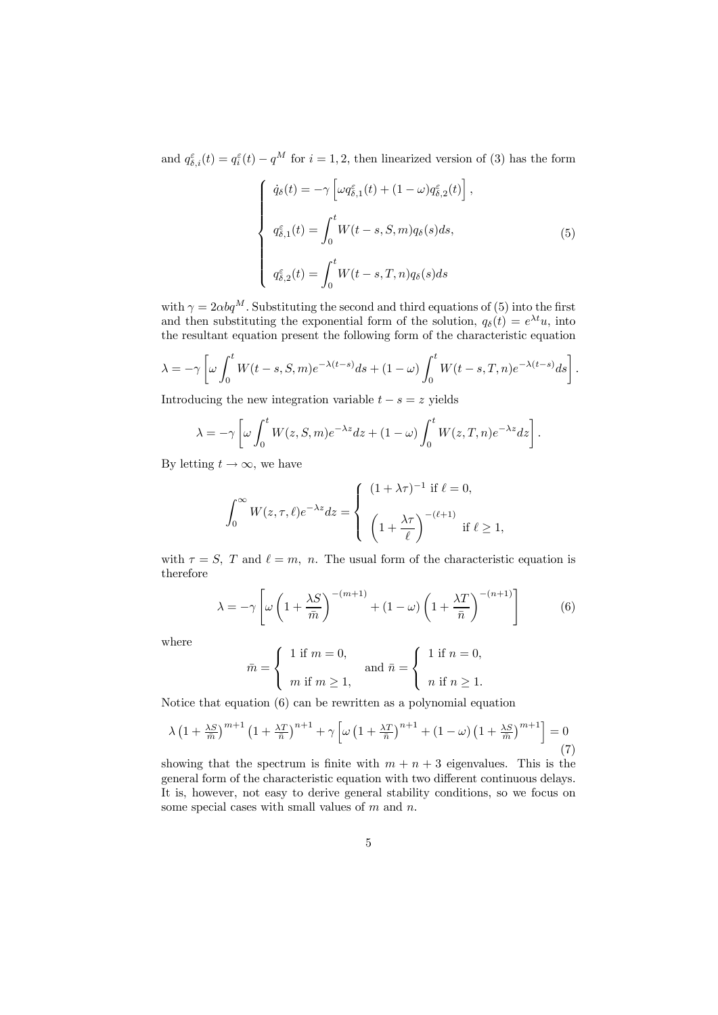and  $q_{\delta,i}^{\varepsilon}(t) = q_i^{\varepsilon}(t) - q^M$  for  $i = 1, 2$ , then linearized version of (3) has the form

$$
\begin{cases}\n\dot{q}_{\delta}(t) = -\gamma \left[ \omega q_{\delta,1}^{\varepsilon}(t) + (1 - \omega) q_{\delta,2}^{\varepsilon}(t) \right], \\
q_{\delta,1}^{\varepsilon}(t) = \int_{0}^{t} W(t - s, S, m) q_{\delta}(s) ds, \\
q_{\delta,2}^{\varepsilon}(t) = \int_{0}^{t} W(t - s, T, n) q_{\delta}(s) ds\n\end{cases}
$$
\n(5)

with  $\gamma = 2 \alpha b q^M$ . Substituting the second and third equations of (5) into the first and then substituting the exponential form of the solution,  $q_\delta(t) = e^{\lambda t}u$ , into the resultant equation present the following form of the characteristic equation

$$
\lambda = -\gamma \left[ \omega \int_0^t W(t-s, S, m) e^{-\lambda (t-s)} ds + (1 - \omega) \int_0^t W(t-s, T, n) e^{-\lambda (t-s)} ds \right].
$$

Introducing the new integration variable  $t - s = z$  yields

$$
\lambda = -\gamma \left[ \omega \int_0^t W(z, S, m) e^{-\lambda z} dz + (1 - \omega) \int_0^t W(z, T, n) e^{-\lambda z} dz \right].
$$

By letting  $t \to \infty$ , we have

$$
\int_0^\infty W(z,\tau,\ell)e^{-\lambda z}dz = \begin{cases} (1+\lambda\tau)^{-1} & \text{if } \ell = 0, \\ \left(1 + \frac{\lambda\tau}{\ell}\right)^{-(\ell+1)} & \text{if } \ell \ge 1, \end{cases}
$$

with  $\tau = S$ , T and  $\ell = m$ , n. The usual form of the characteristic equation is therefore

$$
\lambda = -\gamma \left[ \omega \left( 1 + \frac{\lambda S}{\bar{m}} \right)^{-(m+1)} + (1 - \omega) \left( 1 + \frac{\lambda T}{\bar{n}} \right)^{-(n+1)} \right] \tag{6}
$$

where

$$
\bar{m} = \begin{cases} 1 \text{ if } m = 0, \\ m \text{ if } m \ge 1, \end{cases} \text{ and } \bar{n} = \begin{cases} 1 \text{ if } n = 0, \\ n \text{ if } n \ge 1. \end{cases}
$$

Notice that equation (6) can be rewritten as a polynomial equation

$$
\lambda \left(1 + \frac{\lambda S}{\bar{m}}\right)^{m+1} \left(1 + \frac{\lambda T}{\bar{n}}\right)^{n+1} + \gamma \left[\omega \left(1 + \frac{\lambda T}{\bar{n}}\right)^{n+1} + \left(1 - \omega\right) \left(1 + \frac{\lambda S}{\bar{m}}\right)^{m+1}\right] = 0\tag{7}
$$

showing that the spectrum is finite with  $m + n + 3$  eigenvalues. This is the general form of the characteristic equation with two different continuous delays. It is, however, not easy to derive general stability conditions, so we focus on some special cases with small values of  $m$  and  $n$ .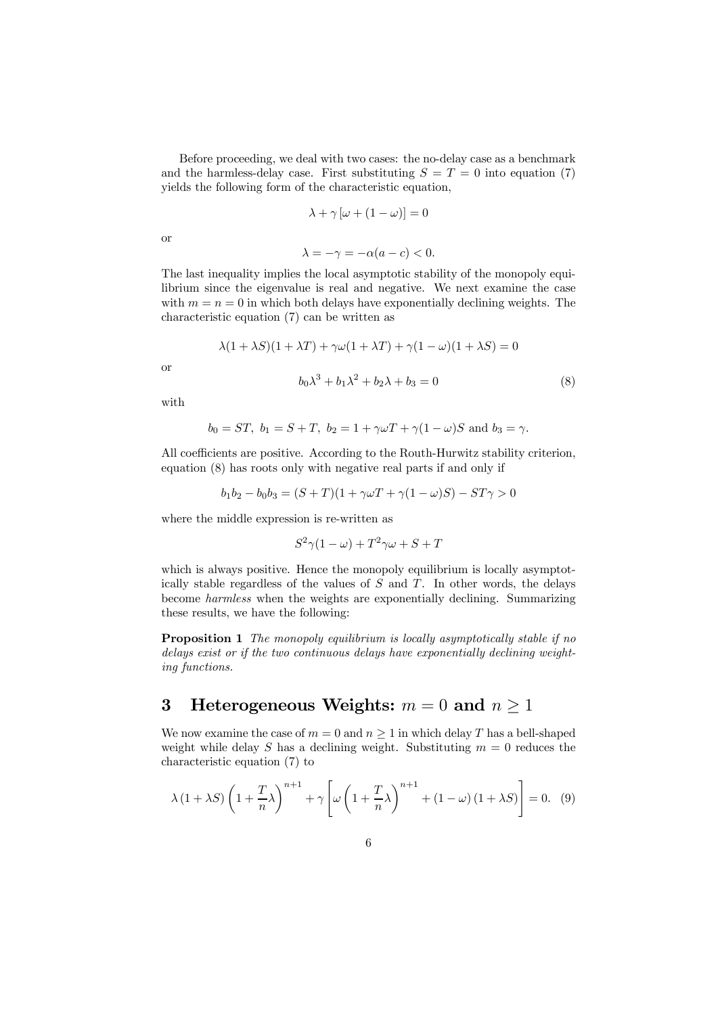Before proceeding, we deal with two cases: the no-delay case as a benchmark and the harmless-delay case. First substituting  $S = T = 0$  into equation (7) yields the following form of the characteristic equation,

$$
\lambda + \gamma \left[ \omega + (1 - \omega) \right] = 0
$$

or

$$
\lambda = -\gamma = -\alpha(a - c) < 0.
$$

The last inequality implies the local asymptotic stability of the monopoly equilibrium since the eigenvalue is real and negative. We next examine the case with  $m = n = 0$  in which both delays have exponentially declining weights. The characteristic equation (7) can be written as

$$
\lambda(1 + \lambda S)(1 + \lambda T) + \gamma \omega(1 + \lambda T) + \gamma(1 - \omega)(1 + \lambda S) = 0
$$

or

$$
b_0\lambda^3 + b_1\lambda^2 + b_2\lambda + b_3 = 0\tag{8}
$$

with

$$
b_0 = ST
$$
,  $b_1 = S + T$ ,  $b_2 = 1 + \gamma \omega T + \gamma (1 - \omega)S$  and  $b_3 = \gamma$ .

All coefficients are positive. According to the Routh-Hurwitz stability criterion, equation (8) has roots only with negative real parts if and only if

$$
b_1b_2 - b_0b_3 = (S+T)(1 + \gamma\omega T + \gamma(1-\omega)S) - ST\gamma > 0
$$

where the middle expression is re-written as

$$
S^2\gamma(1-\omega) + T^2\gamma\omega + S + T
$$

which is always positive. Hence the monopoly equilibrium is locally asymptotically stable regardless of the values of  $S$  and  $T$ . In other words, the delays become *harmless* when the weights are exponentially declining. Summarizing these results, we have the following:

Proposition 1 *The monopoly equilibrium is locally asymptotically stable if no delays exist or if the two continuous delays have exponentially declining weighting functions.*

# 3 Heterogeneous Weights:  $m = 0$  and  $n \ge 1$

We now examine the case of  $m = 0$  and  $n \ge 1$  in which delay T has a bell-shaped weight while delay S has a declining weight. Substituting  $m = 0$  reduces the characteristic equation (7) to

$$
\lambda (1 + \lambda S) \left( 1 + \frac{T}{n} \lambda \right)^{n+1} + \gamma \left[ \omega \left( 1 + \frac{T}{n} \lambda \right)^{n+1} + (1 - \omega) (1 + \lambda S) \right] = 0. \tag{9}
$$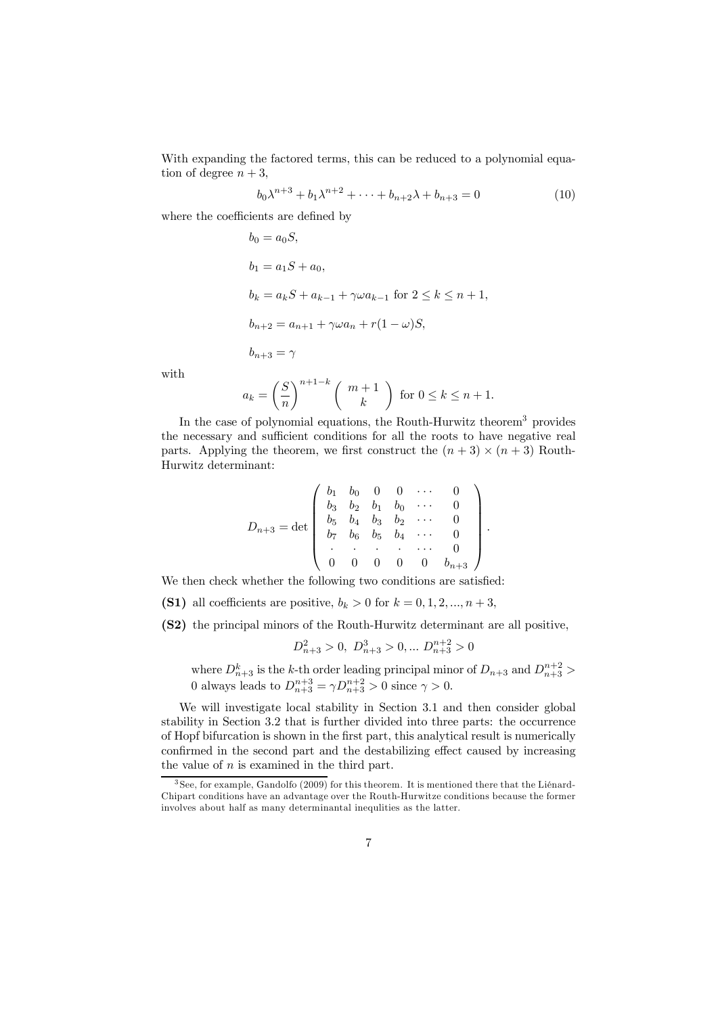With expanding the factored terms, this can be reduced to a polynomial equation of degree  $n + 3$ ,

$$
b_0 \lambda^{n+3} + b_1 \lambda^{n+2} + \dots + b_{n+2} \lambda + b_{n+3} = 0
$$
 (10)

where the coefficients are defined by

$$
b_0 = a_0S,
$$
  
\n
$$
b_1 = a_1S + a_0,
$$
  
\n
$$
b_k = a_kS + a_{k-1} + \gamma \omega a_{k-1} \text{ for } 2 \le k \le n+1,
$$
  
\n
$$
b_{n+2} = a_{n+1} + \gamma \omega a_n + r(1-\omega)S,
$$
  
\n
$$
b_{n+3} = \gamma
$$

with

$$
a_k = \left(\frac{S}{n}\right)^{n+1-k} \left(\begin{array}{c} m+1\\ k \end{array}\right) \text{ for } 0 \le k \le n+1.
$$

In the case of polynomial equations, the Routh-Hurwitz theorem<sup>3</sup> provides the necessary and sufficient conditions for all the roots to have negative real parts. Applying the theorem, we first construct the  $(n+3) \times (n+3)$  Routh-Hurwitz determinant:

$$
D_{n+3} = \det \begin{pmatrix} b_1 & b_0 & 0 & 0 & \cdots & 0 \\ b_3 & b_2 & b_1 & b_0 & \cdots & 0 \\ b_5 & b_4 & b_3 & b_2 & \cdots & 0 \\ b_7 & b_6 & b_5 & b_4 & \cdots & 0 \\ \vdots & \vdots & \vdots & \ddots & \vdots & \vdots \\ 0 & 0 & 0 & 0 & 0 & b_{n+3} \end{pmatrix}.
$$

We then check whether the following two conditions are satisfied:

- (S1) all coefficients are positive,  $b_k > 0$  for  $k = 0, 1, 2, ..., n+3$ ,
- (S2) the principal minors of the Routh-Hurwitz determinant are all positive,

$$
D_{n+3}^2 > 0, D_{n+3}^3 > 0, \dots D_{n+3}^{n+2} > 0
$$

where  $D_{n+3}^k$  is the k-th order leading principal minor of  $D_{n+3}$  and  $D_{n+3}^{n+2}$ 0 always leads to  $D_{n+3}^{n+3} = \gamma D_{n+3}^{n+2} > 0$  since  $\gamma > 0$ .

We will investigate local stability in Section 3.1 and then consider global stability in Section 3.2 that is further divided into three parts: the occurrence of Hopf bifurcation is shown in the first part, this analytical result is numerically confirmed in the second part and the destabilizing effect caused by increasing the value of  $n$  is examined in the third part.

<sup>3</sup> See, for example, Gandolfo (2009) for this theorem. It is mentioned there that the Liénard-Chipart conditions have an advantage over the Routh-Hurwitze conditions because the former involves about half as many determinantal inequlities as the latter.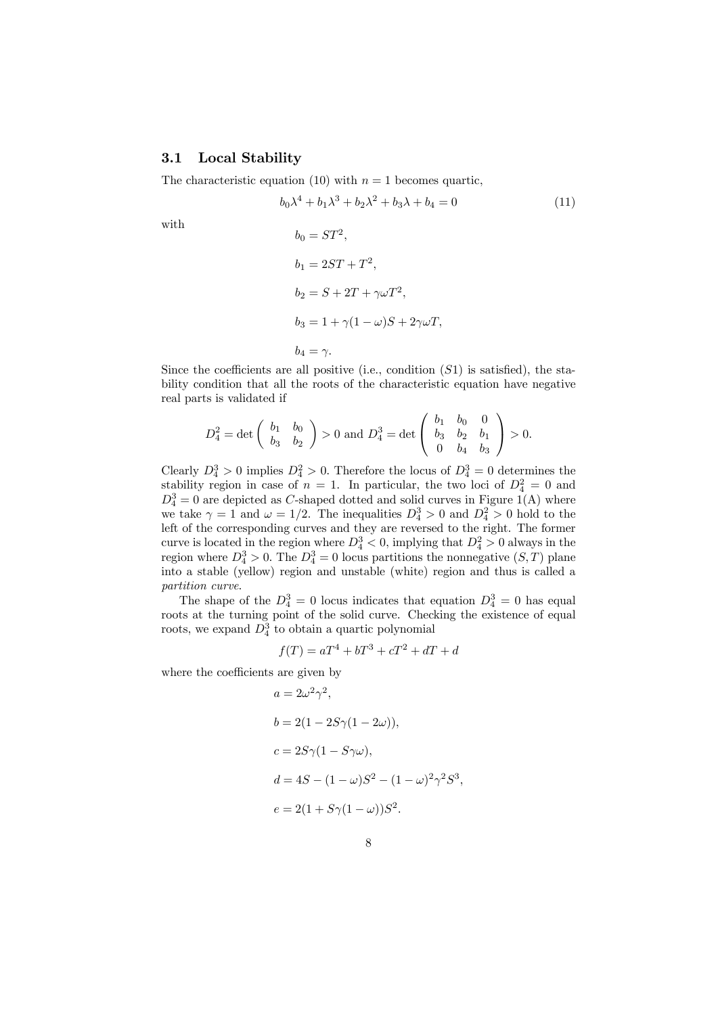## 3.1 Local Stability

The characteristic equation (10) with  $n = 1$  becomes quartic,

$$
b_0 \lambda^4 + b_1 \lambda^3 + b_2 \lambda^2 + b_3 \lambda + b_4 = 0 \tag{11}
$$

with

$$
b_0 = ST^2,
$$
  
\n
$$
b_1 = 2ST + T^2,
$$
  
\n
$$
b_2 = S + 2T + \gamma \omega T^2,
$$
  
\n
$$
b_3 = 1 + \gamma (1 - \omega)S + 2\gamma \omega T,
$$
  
\n
$$
b_4 = \gamma.
$$

Since the coefficients are all positive (i.e., condition  $(S1)$  is satisfied), the stability condition that all the roots of the characteristic equation have negative real parts is validated if

$$
D_4^2 = \det \left( \begin{array}{cc} b_1 & b_0 \\ b_3 & b_2 \end{array} \right) > 0 \text{ and } D_4^3 = \det \left( \begin{array}{cc} b_1 & b_0 & 0 \\ b_3 & b_2 & b_1 \\ 0 & b_4 & b_3 \end{array} \right) > 0.
$$

Clearly  $D_4^3 > 0$  implies  $D_4^2 > 0$ . Therefore the locus of  $D_4^3 = 0$  determines the stability region in case of  $n = 1$ . In particular, the two loci of  $D_4^2 = 0$  and  $D_4^3 = 0$  are depicted as C-shaped dotted and solid curves in Figure 1(A) where we take  $\gamma = 1$  and  $\omega = 1/2$ . The inequalities  $D_4^3 > 0$  and  $D_4^2 > 0$  hold to the left of the corresponding curves and they are reversed to the right. The former curve is located in the region where  $D_4^3 < 0$ , implying that  $D_4^2 > 0$  always in the region where  $D_4^3 > 0$ . The  $D_4^3 = 0$  locus partitions the nonnegative  $(S, T)$  plane into a stable (yellow) region and unstable (white) region and thus is called a *partition curve*.

The shape of the  $D_4^3 = 0$  locus indicates that equation  $D_4^3 = 0$  has equal roots at the turning point of the solid curve. Checking the existence of equal roots, we expand  $D_4^3$  to obtain a quartic polynomial

$$
f(T) = aT^4 + bT^3 + cT^2 + dT + d
$$

where the coefficients are given by

$$
a = 2\omega^2 \gamma^2,
$$
  
\n
$$
b = 2(1 - 2S\gamma(1 - 2\omega)),
$$
  
\n
$$
c = 2S\gamma(1 - S\gamma\omega),
$$
  
\n
$$
d = 4S - (1 - \omega)S^2 - (1 - \omega)^2 \gamma^2 S^3,
$$
  
\n
$$
e = 2(1 + S\gamma(1 - \omega))S^2.
$$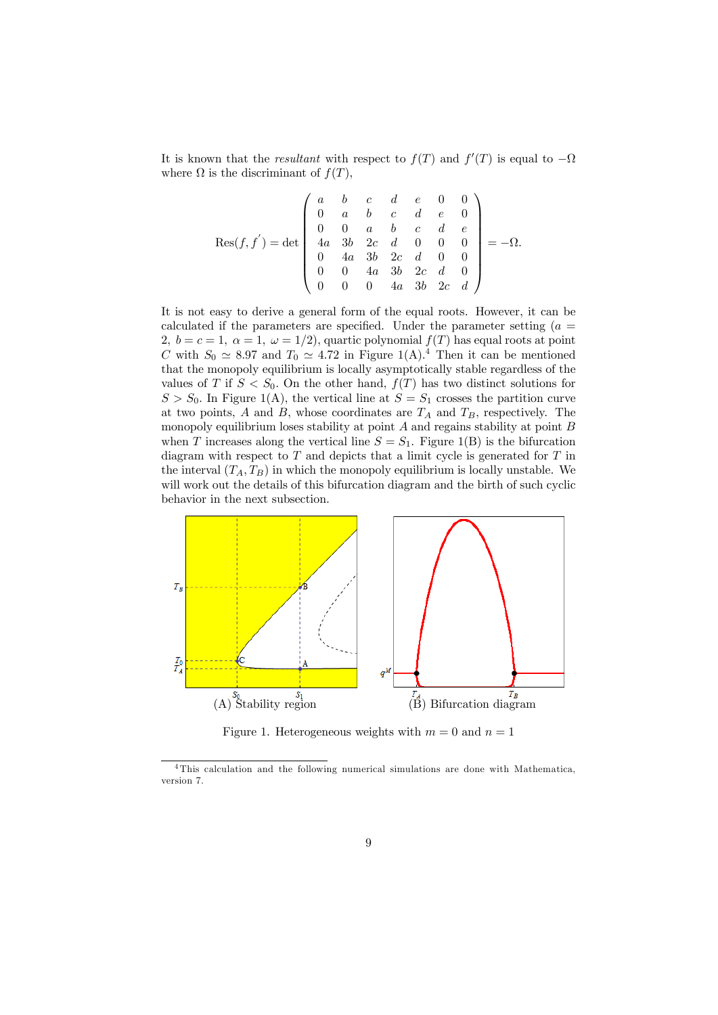It is known that the *resultant* with respect to  $f(T)$  and  $f'(T)$  is equal to  $-\Omega$ where  $\Omega$  is the discriminant of  $f(T)$ ,

$$
\operatorname{Res}(f, f') = \det \begin{pmatrix} a & b & c & d & e & 0 & 0 \\ 0 & a & b & c & d & e & 0 \\ 0 & 0 & a & b & c & d & e \\ 4a & 3b & 2c & d & 0 & 0 & 0 \\ 0 & 4a & 3b & 2c & d & 0 & 0 \\ 0 & 0 & 4a & 3b & 2c & d & 0 \\ 0 & 0 & 0 & 4a & 3b & 2c & d \end{pmatrix} = -\Omega.
$$

It is not easy to derive a general form of the equal roots. However, it can be calculated if the parameters are specified. Under the parameter setting  $(a =$ 2,  $b = c = 1$ ,  $\alpha = 1$ ,  $\omega = 1/2$ , quartic polynomial  $f(T)$  has equal roots at point C with  $S_0 \simeq 8.97$  and  $T_0 \simeq 4.72$  in Figure 1(A).<sup>4</sup> Then it can be mentioned that the monopoly equilibrium is locally asymptotically stable regardless of the values of T if  $S < S_0$ . On the other hand,  $f(T)$  has two distinct solutions for  $S > S_0$ . In Figure 1(A), the vertical line at  $S = S_1$  crosses the partition curve at two points,  $A$  and  $B$ , whose coordinates are  $T_A$  and  $T_B$ , respectively. The monopoly equilibrium loses stability at point  $A$  and regains stability at point  $B$ when T increases along the vertical line  $S = S_1$ . Figure 1(B) is the bifurcation diagram with respect to  $T$  and depicts that a limit cycle is generated for  $T$  in the interval  $(T_A, T_B)$  in which the monopoly equilibrium is locally unstable. We will work out the details of this bifurcation diagram and the birth of such cyclic behavior in the next subsection.



Figure 1. Heterogeneous weights with  $m = 0$  and  $n = 1$ 

<sup>4</sup> This calculation and the following numerical simulations are done with Mathematica, version 7.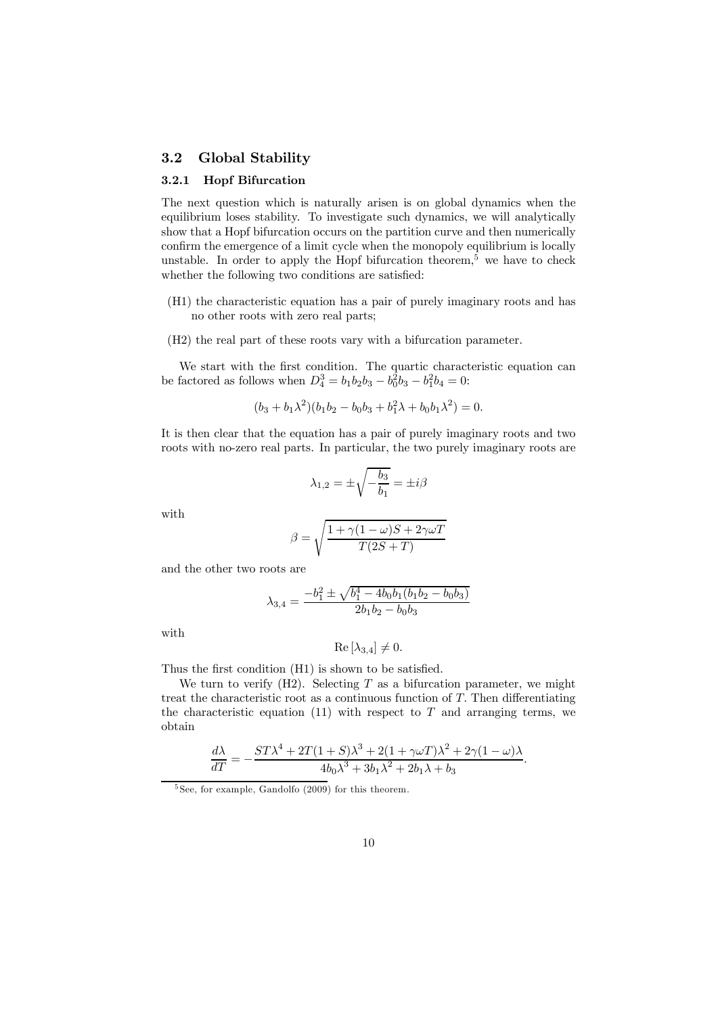### 3.2 Global Stability

#### 3.2.1 Hopf Bifurcation

The next question which is naturally arisen is on global dynamics when the equilibrium loses stability. To investigate such dynamics, we will analytically show that a Hopf bifurcation occurs on the partition curve and then numerically confirm the emergence of a limit cycle when the monopoly equilibrium is locally unstable. In order to apply the Hopf bifurcation theorem,<sup>5</sup> we have to check whether the following two conditions are satisfied:

- (H1) the characteristic equation has a pair of purely imaginary roots and has no other roots with zero real parts;
- (H2) the real part of these roots vary with a bifurcation parameter.

We start with the first condition. The quartic characteristic equation can be factored as follows when  $D_4^3 = b_1b_2b_3 - b_0^2b_3 - b_1^2b_4 = 0$ :

$$
(b_3 + b_1\lambda^2)(b_1b_2 - b_0b_3 + b_1^2\lambda + b_0b_1\lambda^2) = 0.
$$

It is then clear that the equation has a pair of purely imaginary roots and two roots with no-zero real parts. In particular, the two purely imaginary roots are

$$
\lambda_{1,2}=\pm\sqrt{-\frac{b_3}{b_1}}=\pm i\beta
$$

with

$$
\beta = \sqrt{\frac{1 + \gamma (1 - \omega) S + 2\gamma \omega T}{T (2S + T)}}
$$

and the other two roots are

$$
\lambda_{3,4} = \frac{-b_1^2 \pm \sqrt{b_1^4 - 4b_0b_1(b_1b_2 - b_0b_3)}}{2b_1b_2 - b_0b_3}
$$

with

$$
\operatorname{Re} \left[ \lambda_{3,4} \right] \neq 0.
$$

Thus the first condition (H1) is shown to be satisfied.

We turn to verify  $(H2)$ . Selecting T as a bifurcation parameter, we might treat the characteristic root as a continuous function of T. Then differentiating the characteristic equation  $(11)$  with respect to T and arranging terms, we obtain

$$
\frac{d\lambda}{dT} = -\frac{ST\lambda^4 + 2T(1+S)\lambda^3 + 2(1+\gamma\omega T)\lambda^2 + 2\gamma(1-\omega)\lambda}{4b_0\lambda^3 + 3b_1\lambda^2 + 2b_1\lambda + b_3}.
$$

 $5$  See, for example, Gandolfo  $(2009)$  for this theorem.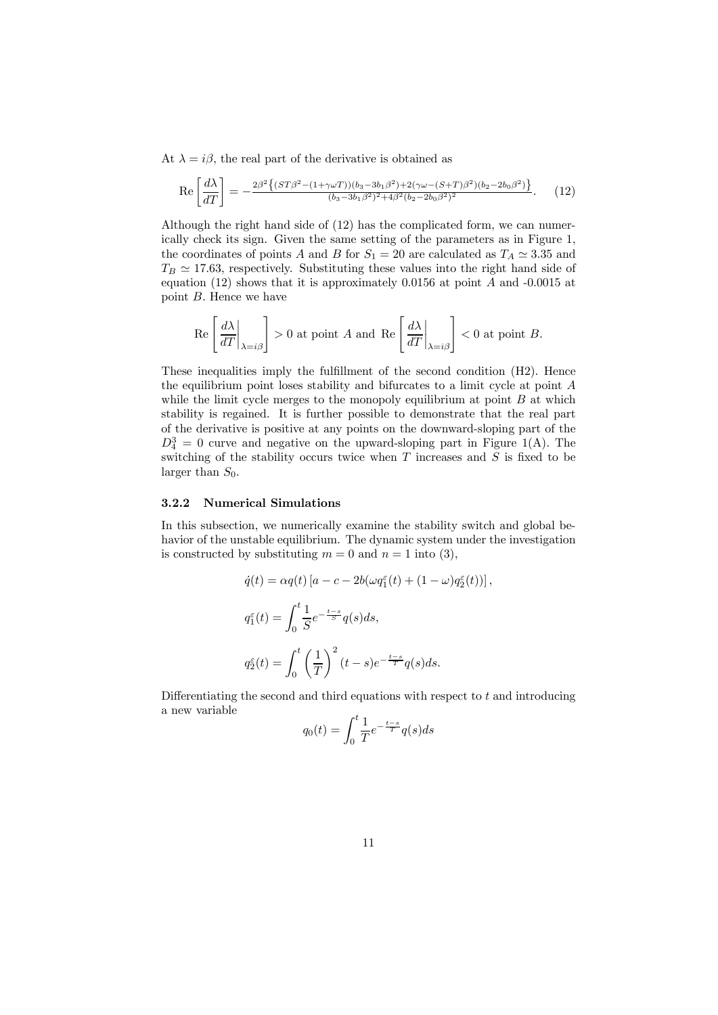At  $\lambda = i\beta$ , the real part of the derivative is obtained as

$$
\text{Re}\left[\frac{d\lambda}{dT}\right] = -\frac{2\beta^2 \left\{ (ST\beta^2 - (1+\gamma\omega T))(b_3 - 3b_1\beta^2) + 2(\gamma\omega - (S+T)\beta^2)(b_2 - 2b_0\beta^2) \right\}}{(b_3 - 3b_1\beta^2)^2 + 4\beta^2(b_2 - 2b_0\beta^2)^2}.
$$
 (12)

Although the right hand side of (12) has the complicated form, we can numerically check its sign. Given the same setting of the parameters as in Figure 1, the coordinates of points A and B for  $S_1 = 20$  are calculated as  $T_A \simeq 3.35$  and  $T_B \simeq 17.63$ , respectively. Substituting these values into the right hand side of equation (12) shows that it is approximately 0.0156 at point A and -0.0015 at point  $B$ . Hence we have

$$
\operatorname{Re}\left[\left.\frac{d\lambda}{dT}\right|_{\lambda=i\beta}\right] > 0 \text{ at point } A \text{ and } \operatorname{Re}\left[\left.\frac{d\lambda}{dT}\right|_{\lambda=i\beta}\right] < 0 \text{ at point } B.
$$

These inequalities imply the fulfillment of the second condition (H2). Hence the equilibrium point loses stability and bifurcates to a limit cycle at point A while the limit cycle merges to the monopoly equilibrium at point  $B$  at which stability is regained. It is further possible to demonstrate that the real part of the derivative is positive at any points on the downward-sloping part of the  $D_4^3 = 0$  curve and negative on the upward-sloping part in Figure 1(A). The switching of the stability occurs twice when  $T$  increases and  $S$  is fixed to be larger than  $S_0$ .

#### 3.2.2 Numerical Simulations

In this subsection, we numerically examine the stability switch and global behavior of the unstable equilibrium. The dynamic system under the investigation is constructed by substituting  $m = 0$  and  $n = 1$  into (3),

$$
\dot{q}(t) = \alpha q(t) \left[ a - c - 2b(\omega q_1^{\varepsilon}(t) + (1 - \omega)q_2^{\varepsilon}(t)) \right],
$$
  
\n
$$
q_1^{\varepsilon}(t) = \int_0^t \frac{1}{S} e^{-\frac{t-s}{S}} q(s) ds,
$$
  
\n
$$
q_2^{\varepsilon}(t) = \int_0^t \left(\frac{1}{T}\right)^2 (t-s) e^{-\frac{t-s}{T}} q(s) ds.
$$

Differentiating the second and third equations with respect to  $t$  and introducing a new variable

$$
q_0(t) = \int_0^t \frac{1}{T} e^{-\frac{t-s}{T}} q(s) ds
$$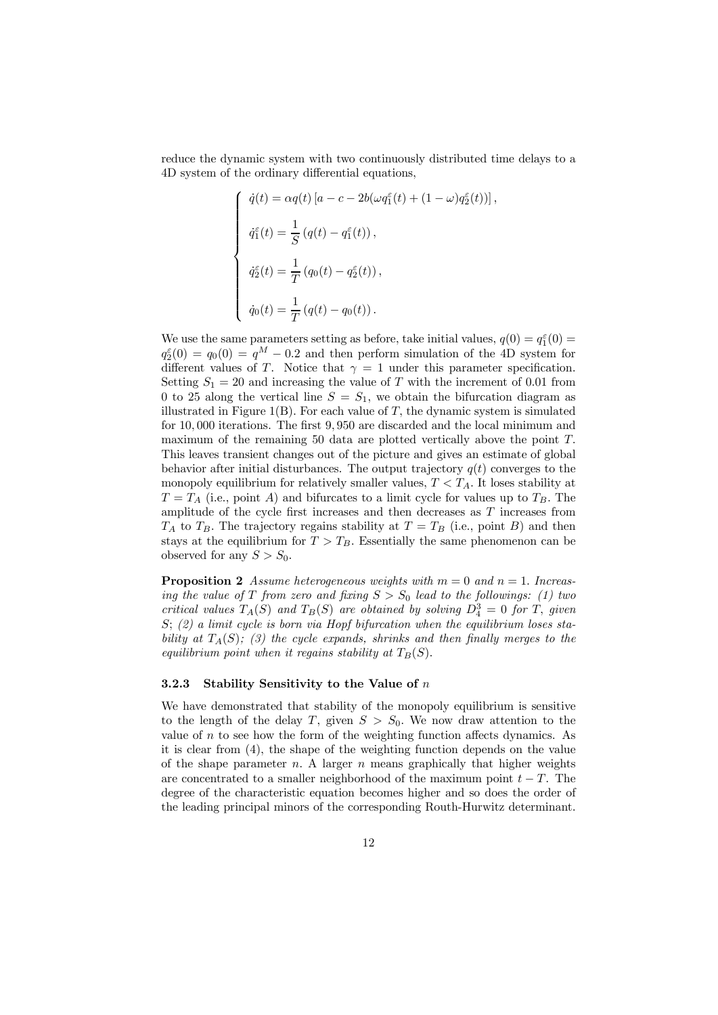reduce the dynamic system with two continuously distributed time delays to a 4D system of the ordinary differential equations,

$$
\begin{cases}\n\dot{q}(t) = \alpha q(t) \left[ a - c - 2b(\omega q_1^{\varepsilon}(t) + (1 - \omega)q_2^{\varepsilon}(t)) \right], \\
\dot{q}_1^{\varepsilon}(t) = \frac{1}{S} \left( q(t) - q_1^{\varepsilon}(t) \right), \\
\dot{q}_2^{\varepsilon}(t) = \frac{1}{T} \left( q_0(t) - q_2^{\varepsilon}(t) \right), \\
\dot{q}_0(t) = \frac{1}{T} \left( q(t) - q_0(t) \right).\n\end{cases}
$$

We use the same parameters setting as before, take initial values,  $q(0) = q_1^{\varepsilon}(0) =$  $q_2^{\epsilon}(0) = q_0(0) = q^M - 0.2$  and then perform simulation of the 4D system for different values of T. Notice that  $\gamma = 1$  under this parameter specification. Setting  $S_1 = 20$  and increasing the value of T with the increment of 0.01 from 0 to 25 along the vertical line  $S = S_1$ , we obtain the bifurcation diagram as illustrated in Figure 1(B). For each value of  $T$ , the dynamic system is simulated for 10, 000 iterations. The first 9, 950 are discarded and the local minimum and maximum of the remaining 50 data are plotted vertically above the point T. This leaves transient changes out of the picture and gives an estimate of global behavior after initial disturbances. The output trajectory  $q(t)$  converges to the monopoly equilibrium for relatively smaller values,  $T < T_A$ . It loses stability at  $T = T_A$  (i.e., point A) and bifurcates to a limit cycle for values up to  $T_B$ . The amplitude of the cycle first increases and then decreases as  $T$  increases from  $T_A$  to  $T_B$ . The trajectory regains stability at  $T = T_B$  (i.e., point B) and then stays at the equilibrium for  $T > T_B$ . Essentially the same phenomenon can be observed for any  $S > S_0$ .

**Proposition 2** *Assume heterogeneous weights with*  $m = 0$  *and*  $n = 1$ *. Increasing the value of* T *from zero and fixing*  $S > S_0$  *lead to the followings: (1) two critical values*  $T_A(S)$  *and*  $T_B(S)$  *are obtained by solving*  $D_4^3 = 0$  *for*  $T$ *, given* S; *(2) a limit cycle is born via Hopf bifurcation when the equilibrium loses stability at*  $T_A(S)$ ; (3) the cycle expands, shrinks and then finally merges to the *equilibrium point when it regains stability at*  $T_B(S)$ .

#### 3.2.3 Stability Sensitivity to the Value of  $n$

We have demonstrated that stability of the monopoly equilibrium is sensitive to the length of the delay T, given  $S > S_0$ . We now draw attention to the value of  $n$  to see how the form of the weighting function affects dynamics. As it is clear from (4), the shape of the weighting function depends on the value of the shape parameter  $n$ . A larger  $n$  means graphically that higher weights are concentrated to a smaller neighborhood of the maximum point  $t - T$ . The degree of the characteristic equation becomes higher and so does the order of the leading principal minors of the corresponding Routh-Hurwitz determinant.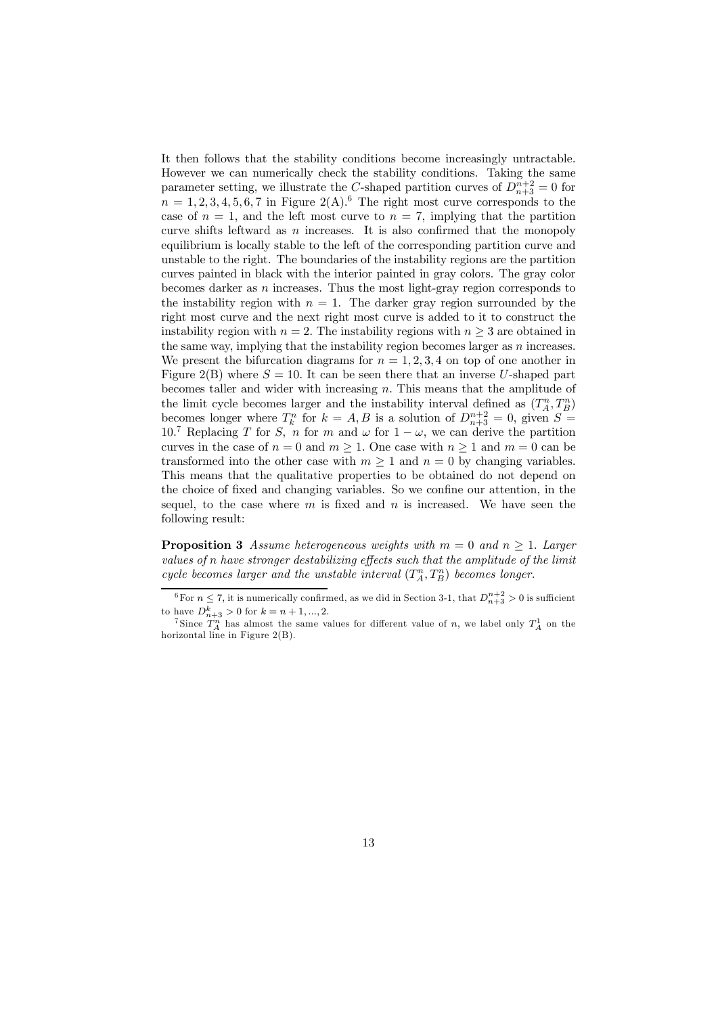It then follows that the stability conditions become increasingly untractable. However we can numerically check the stability conditions. Taking the same parameter setting, we illustrate the C-shaped partition curves of  $D_{n+3}^{n+2} = 0$  for  $n = 1, 2, 3, 4, 5, 6, 7$  in Figure 2(A).<sup>6</sup> The right most curve corresponds to the case of  $n = 1$ , and the left most curve to  $n = 7$ , implying that the partition curve shifts leftward as  $n$  increases. It is also confirmed that the monopoly equilibrium is locally stable to the left of the corresponding partition curve and unstable to the right. The boundaries of the instability regions are the partition curves painted in black with the interior painted in gray colors. The gray color becomes darker as  $n$  increases. Thus the most light-gray region corresponds to the instability region with  $n = 1$ . The darker gray region surrounded by the right most curve and the next right most curve is added to it to construct the instability region with  $n = 2$ . The instability regions with  $n \geq 3$  are obtained in the same way, implying that the instability region becomes larger as  $n$  increases. We present the bifurcation diagrams for  $n = 1, 2, 3, 4$  on top of one another in Figure 2(B) where  $S = 10$ . It can be seen there that an inverse U-shaped part becomes taller and wider with increasing  $n$ . This means that the amplitude of the limit cycle becomes larger and the instability interval defined as  $(T_A^n, T_B^n)$ becomes longer where  $T_k^n$  for  $k = A, B$  is a solution of  $D_{n+3}^{n+2} = 0$ , given  $S =$ 10.<sup>7</sup> Replacing T for S, n for m and  $\omega$  for  $1 - \omega$ , we can derive the partition curves in the case of  $n = 0$  and  $m \ge 1$ . One case with  $n \ge 1$  and  $m = 0$  can be transformed into the other case with  $m \geq 1$  and  $n = 0$  by changing variables. This means that the qualitative properties to be obtained do not depend on the choice of fixed and changing variables. So we confine our attention, in the sequel, to the case where  $m$  is fixed and  $n$  is increased. We have seen the following result:

**Proposition 3** *Assume heterogeneous weights with*  $m = 0$  *and*  $n \ge 1$ *. Larger values of* n *have stronger destabilizing effects such that the amplitude of the limit cycle becomes larger and the unstable interval*  $(T_A^n, T_B^n)$  *becomes longer.* 

<sup>&</sup>lt;sup>6</sup>For  $n \leq 7$ , it is numerically confirmed, as we did in Section 3-1, that  $D_{n+3}^{n+2} > 0$  is sufficient to have  $D_{n+3}^k > 0$  for  $k = n+1, ..., 2$ .

<sup>&</sup>lt;sup>7</sup>Since  $T_A^n$  has almost the same values for different value of n, we label only  $T_A^1$  on the horizontal line in Figure 2(B).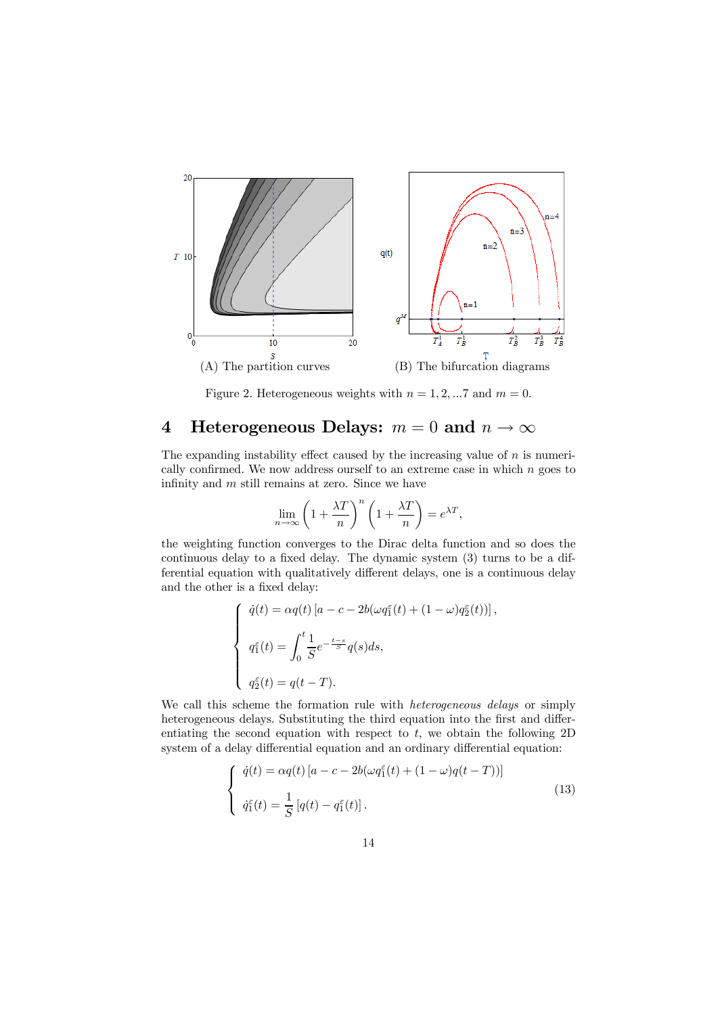

Figure 2. Heterogeneous weights with  $n = 1, 2, \dots 7$  and  $m = 0$ .

# 4 Heterogeneous Delays:  $m = 0$  and  $n \to \infty$

The expanding instability effect caused by the increasing value of  $n$  is numerically confirmed. We now address ourself to an extreme case in which n goes to infinity and m still remains at zero. Since we have

$$
\lim_{n \to \infty} \left( 1 + \frac{\lambda T}{n} \right)^n \left( 1 + \frac{\lambda T}{n} \right) = e^{\lambda T},
$$

the weighting function converges to the Dirac delta function and so does the continuous delay to a fixed delay. The dynamic system (3) turns to be a differential equation with qualitatively different delays, one is a continuous delay and the other is a fixed delay:

$$
\begin{cases}\n\dot{q}(t) = \alpha q(t) \left[ a - c - 2b(\omega q_1^{\varepsilon}(t) + (1 - \omega)q_2^{\varepsilon}(t)) \right], \\
q_1^{\varepsilon}(t) = \int_0^t \frac{1}{S} e^{-\frac{t - s}{S}} q(s) ds, \\
q_2^{\varepsilon}(t) = q(t - T).\n\end{cases}
$$

We call this scheme the formation rule with *heterogeneous delays* or simply heterogeneous delays. Substituting the third equation into the first and differentiating the second equation with respect to t, we obtain the following  $2D$ system of a delay differential equation and an ordinary differential equation:

$$
\begin{cases}\n\dot{q}(t) = \alpha q(t) \left[ a - c - 2b(\omega q_1^{\varepsilon}(t) + (1 - \omega)q(t - T)) \right] \\
\dot{q}_1^{\varepsilon}(t) = \frac{1}{S} \left[ q(t) - q_1^{\varepsilon}(t) \right].\n\end{cases} \tag{13}
$$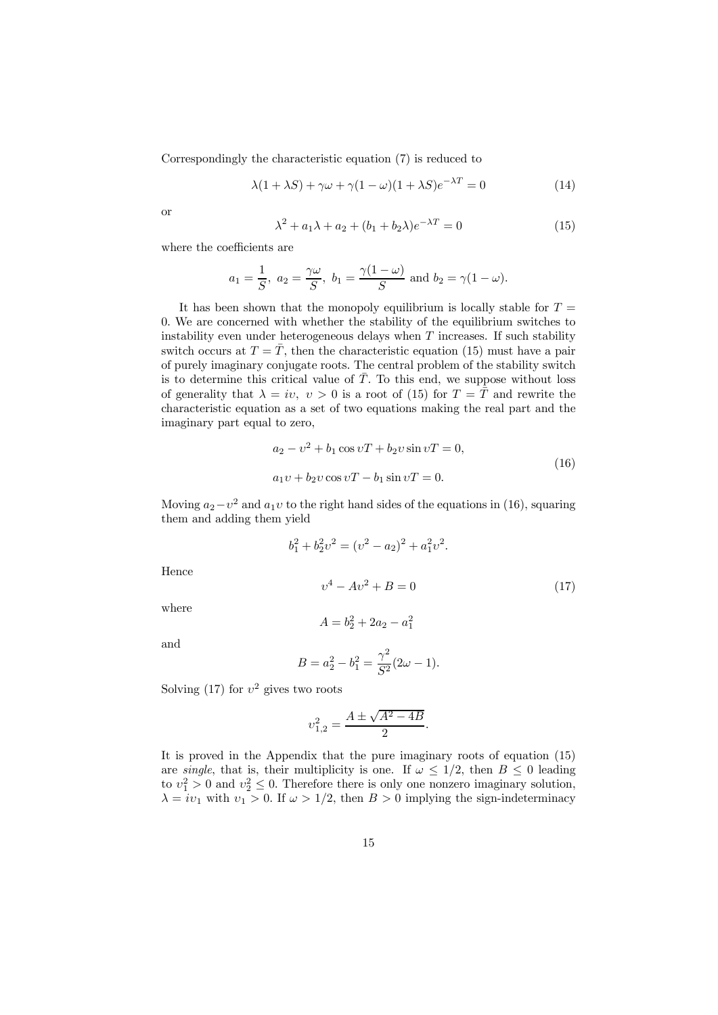Correspondingly the characteristic equation (7) is reduced to

$$
\lambda(1 + \lambda S) + \gamma \omega + \gamma (1 - \omega)(1 + \lambda S)e^{-\lambda T} = 0
$$
\n(14)

or

$$
\lambda^{2} + a_{1}\lambda + a_{2} + (b_{1} + b_{2}\lambda)e^{-\lambda T} = 0
$$
\n(15)

where the coefficients are

$$
a_1 = \frac{1}{S}
$$
,  $a_2 = \frac{\gamma \omega}{S}$ ,  $b_1 = \frac{\gamma (1 - \omega)}{S}$  and  $b_2 = \gamma (1 - \omega)$ .

It has been shown that the monopoly equilibrium is locally stable for  $T =$ 0. We are concerned with whether the stability of the equilibrium switches to instability even under heterogeneous delays when  $T$  increases. If such stability switch occurs at  $T = \overline{T}$ , then the characteristic equation (15) must have a pair of purely imaginary conjugate roots. The central problem of the stability switch is to determine this critical value of  $\overline{T}$ . To this end, we suppose without loss of generality that  $\lambda = iv, v > 0$  is a root of (15) for  $T = \overline{T}$  and rewrite the characteristic equation as a set of two equations making the real part and the imaginary part equal to zero,

$$
a_2 - v^2 + b_1 \cos vT + b_2 v \sin vT = 0,
$$
  
\n
$$
a_1 v + b_2 v \cos vT - b_1 \sin vT = 0.
$$
\n(16)

Moving  $a_2 - v^2$  and  $a_1v$  to the right hand sides of the equations in (16), squaring them and adding them yield

$$
b_1^2 + b_2^2 v^2 = (v^2 - a_2)^2 + a_1^2 v^2.
$$
  

$$
v^4 - Av^2 + B = 0
$$
 (17)  

$$
A = b_2^2 + 2a_2 - a_1^2
$$

where

Hence

and

$$
B = a_2^2 - b_1^2 = \frac{\gamma^2}{S^2} (2\omega - 1).
$$

Solving (17) for  $v^2$  gives two roots

$$
v_{1,2}^2 = \frac{A \pm \sqrt{A^2 - 4B}}{2}.
$$

It is proved in the Appendix that the pure imaginary roots of equation (15) are *single*, that is, their multiplicity is one. If  $\omega \leq 1/2$ , then  $B \leq 0$  leading to  $v_1^2 > 0$  and  $v_2^2 \leq 0$ . Therefore there is only one nonzero imaginary solution,  $\lambda = iv_1$  with  $v_1 > 0$ . If  $\omega > 1/2$ , then  $B > 0$  implying the sign-indeterminacy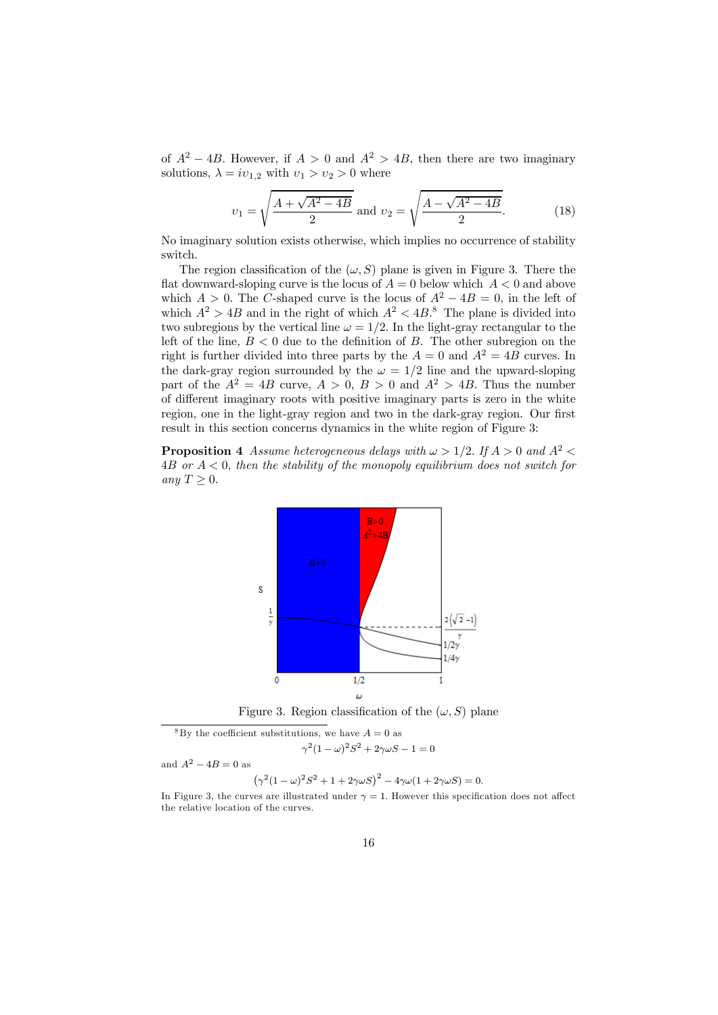of  $A^2 - 4B$ . However, if  $A > 0$  and  $A^2 > 4B$ , then there are two imaginary solutions,  $\lambda = iv_{1,2}$  with  $v_1 > v_2 > 0$  where

$$
v_1 = \sqrt{\frac{A + \sqrt{A^2 - 4B}}{2}} \text{ and } v_2 = \sqrt{\frac{A - \sqrt{A^2 - 4B}}{2}}.
$$
 (18)

No imaginary solution exists otherwise, which implies no occurrence of stability switch.

The region classification of the  $(\omega, S)$  plane is given in Figure 3. There the flat downward-sloping curve is the locus of  $A = 0$  below which  $A < 0$  and above which  $A > 0$ . The C-shaped curve is the locus of  $A^2 - 4B = 0$ , in the left of which  $A^2 > 4B$  and in the right of which  $A^2 < 4B$ .<sup>8</sup> The plane is divided into two subregions by the vertical line  $\omega = 1/2$ . In the light-gray rectangular to the left of the line,  $B < 0$  due to the definition of B. The other subregion on the right is further divided into three parts by the  $A = 0$  and  $A^2 = 4B$  curves. In the dark-gray region surrounded by the  $\omega = 1/2$  line and the upward-sloping part of the  $A^2 = 4B$  curve,  $A > 0$ ,  $B > 0$  and  $A^2 > 4B$ . Thus the number of different imaginary roots with positive imaginary parts is zero in the white region, one in the light-gray region and two in the dark-gray region. Our first result in this section concerns dynamics in the white region of Figure 3:

**Proposition 4** *Assume heterogeneous delays with*  $\omega > 1/2$ . If  $A > 0$  and  $A^2 <$ 4B *or* A < 0, *then the stability of the monopoly equilibrium does not switch for any*  $T > 0$ .



Figure 3. Region classification of the  $(\omega, S)$  plane

<sup>8</sup>By the coefficient substitutions, we have  $A = 0$  as  $\gamma^2 (1 - \omega)^2 S^2 + 2\gamma \omega S - 1 = 0$ 

and  $A^2 - 4B = 0$  as

$$
(\gamma^2(1-\omega)^2S^2+1+2\gamma\omega S)^2-4\gamma\omega(1+2\gamma\omega S)=0.
$$

In Figure 3, the curves are illustrated under  $\gamma = 1$ . However this specification does not affect the relative location of the curves.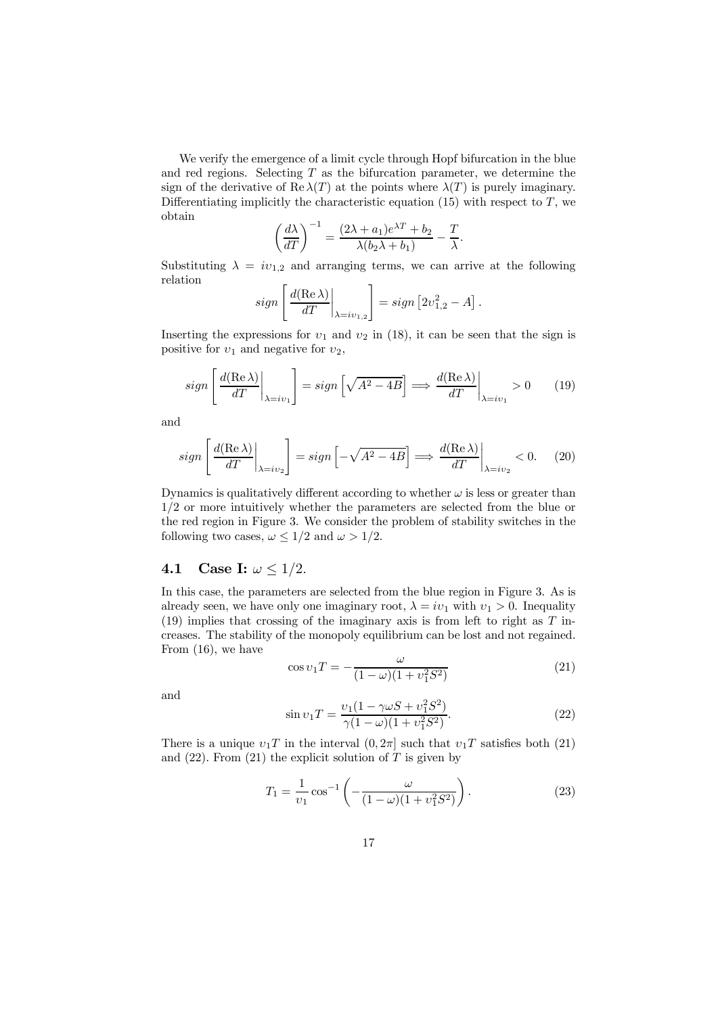We verify the emergence of a limit cycle through Hopf bifurcation in the blue and red regions. Selecting  $T$  as the bifurcation parameter, we determine the sign of the derivative of  $\text{Re }\lambda(T)$  at the points where  $\lambda(T)$  is purely imaginary. Differentiating implicitly the characteristic equation  $(15)$  with respect to T, we obtain

$$
\left(\frac{d\lambda}{dT}\right)^{-1} = \frac{(2\lambda + a_1)e^{\lambda T} + b_2}{\lambda(b_2\lambda + b_1)} - \frac{T}{\lambda}.
$$

Substituting  $\lambda = iv_{1,2}$  and arranging terms, we can arrive at the following relation

$$
sign\left[\left.\frac{d(\text{Re }\lambda)}{dT}\right|_{\lambda=iv_{1,2}}\right] = sign\left[2v_{1,2}^2 - A\right].
$$

Inserting the expressions for  $v_1$  and  $v_2$  in (18), it can be seen that the sign is positive for  $v_1$  and negative for  $v_2$ ,

$$
sign\left[\left.\frac{d(\text{Re }\lambda)}{dT}\right|_{\lambda=i\upsilon_1}\right] = sign\left[\sqrt{A^2 - 4B}\right] \Longrightarrow \left.\frac{d(\text{Re }\lambda)}{dT}\right|_{\lambda=i\upsilon_1} > 0\tag{19}
$$

and

$$
sign\left[\left.\frac{d(\text{Re }\lambda)}{dT}\right|_{\lambda = iv_2}\right] = sign\left[-\sqrt{A^2 - 4B}\right] \Longrightarrow \left.\frac{d(\text{Re }\lambda)}{dT}\right|_{\lambda = iv_2} < 0. \tag{20}
$$

Dynamics is qualitatively different according to whether  $\omega$  is less or greater than 1/2 or more intuitively whether the parameters are selected from the blue or the red region in Figure 3. We consider the problem of stability switches in the following two cases,  $\omega \leq 1/2$  and  $\omega > 1/2$ .

## 4.1 Case I:  $\omega \leq 1/2$ .

In this case, the parameters are selected from the blue region in Figure 3. As is already seen, we have only one imaginary root,  $\lambda = iv_1$  with  $v_1 > 0$ . Inequality (19) implies that crossing of the imaginary axis is from left to right as T increases. The stability of the monopoly equilibrium can be lost and not regained. From (16), we have

$$
\cos v_1 T = -\frac{\omega}{(1 - \omega)(1 + v_1^2 S^2)}
$$
(21)

and

$$
\sin v_1 T = \frac{v_1 (1 - \gamma \omega S + v_1^2 S^2)}{\gamma (1 - \omega)(1 + v_1^2 S^2)}.
$$
\n(22)

There is a unique  $v_1T$  in the interval  $(0, 2\pi]$  such that  $v_1T$  satisfies both (21) and  $(22)$ . From  $(21)$  the explicit solution of T is given by

$$
T_1 = \frac{1}{v_1} \cos^{-1} \left( -\frac{\omega}{(1-\omega)(1+v_1^2 S^2)} \right).
$$
 (23)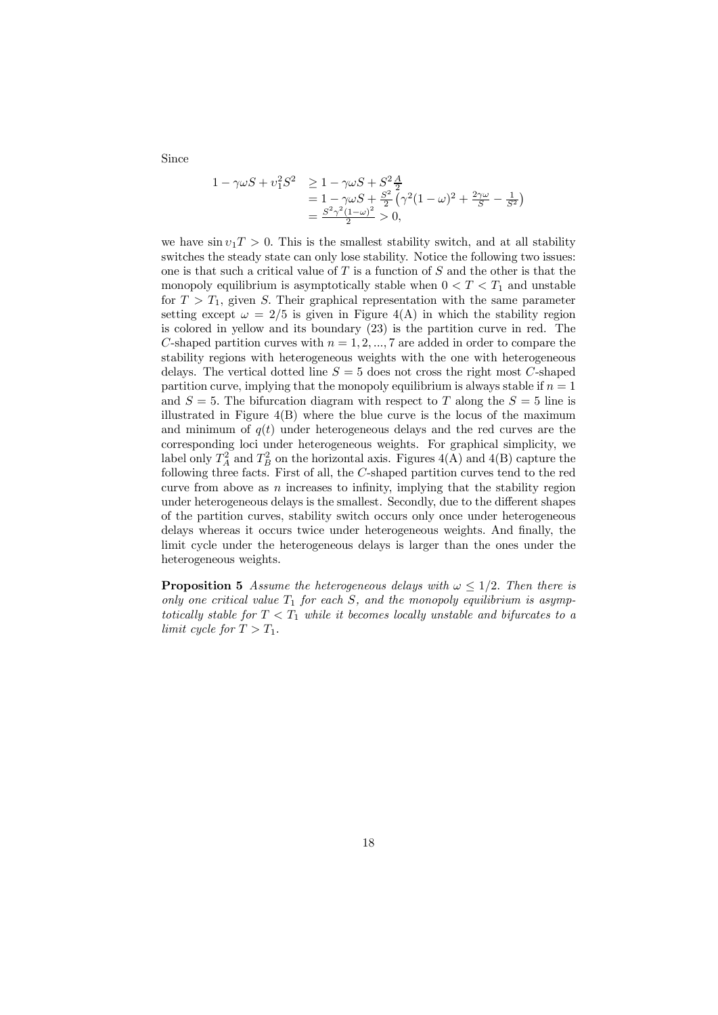Since

$$
1 - \gamma \omega S + v_1^2 S^2 \ge 1 - \gamma \omega S + S^2 \frac{A}{2}
$$
  
=  $1 - \gamma \omega S + \frac{S^2}{2} (\gamma^2 (1 - \omega)^2 + \frac{2\gamma \omega}{S} - \frac{1}{S^2})$   
=  $\frac{S^2 \gamma^2 (1 - \omega)^2}{2} > 0$ ,

we have  $\sin v_1 T > 0$ . This is the smallest stability switch, and at all stability switches the steady state can only lose stability. Notice the following two issues: one is that such a critical value of  $T$  is a function of  $S$  and the other is that the monopoly equilibrium is asymptotically stable when  $0 < T < T_1$  and unstable for  $T > T_1$ , given S. Their graphical representation with the same parameter setting except  $\omega = 2/5$  is given in Figure 4(A) in which the stability region is colored in yellow and its boundary (23) is the partition curve in red. The C-shaped partition curves with  $n = 1, 2, ..., 7$  are added in order to compare the stability regions with heterogeneous weights with the one with heterogeneous delays. The vertical dotted line  $S = 5$  does not cross the right most C-shaped partition curve, implying that the monopoly equilibrium is always stable if  $n = 1$ and  $S = 5$ . The bifurcation diagram with respect to T along the  $S = 5$  line is illustrated in Figure  $4(B)$  where the blue curve is the locus of the maximum and minimum of  $q(t)$  under heterogeneous delays and the red curves are the corresponding loci under heterogeneous weights. For graphical simplicity, we label only  $T_A^2$  and  $T_B^2$  on the horizontal axis. Figures 4(A) and 4(B) capture the following three facts. First of all, the C-shaped partition curves tend to the red curve from above as  $n$  increases to infinity, implying that the stability region under heterogeneous delays is the smallest. Secondly, due to the different shapes of the partition curves, stability switch occurs only once under heterogeneous delays whereas it occurs twice under heterogeneous weights. And finally, the limit cycle under the heterogeneous delays is larger than the ones under the heterogeneous weights.

**Proposition 5** *Assume the heterogeneous delays with*  $\omega \leq 1/2$ . *Then there is* only one critical value  $T_1$  for each S, and the monopoly equilibrium is asymp*totically stable for*  $T < T_1$  *while it becomes locally unstable and bifurcates to a limit cycle for*  $T > T_1$ .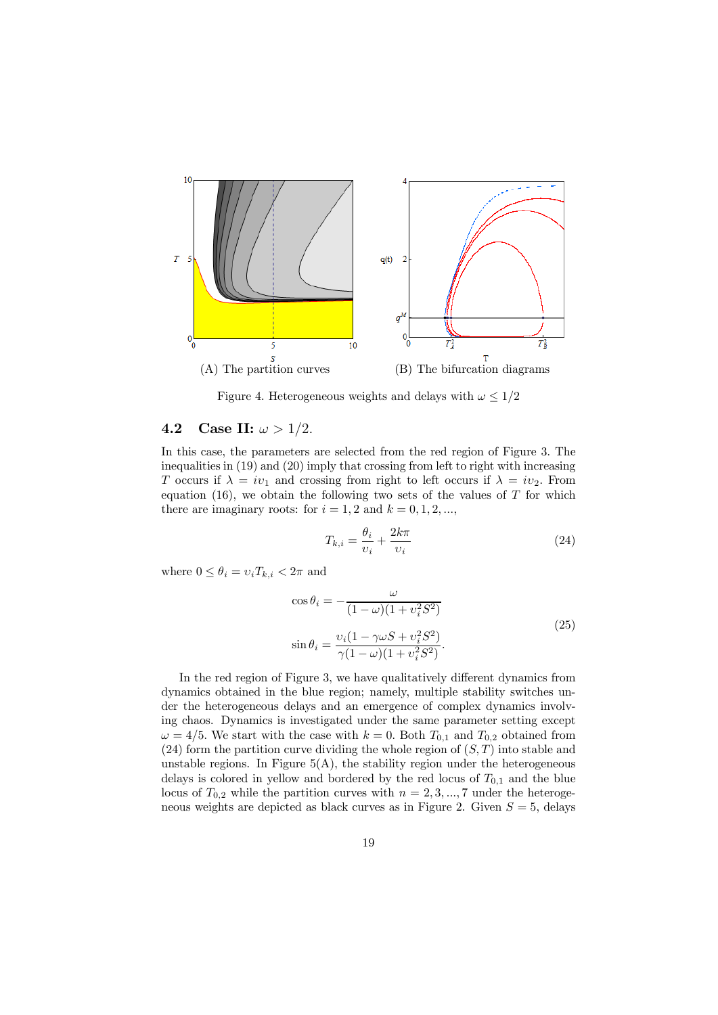

Figure 4. Heterogeneous weights and delays with  $\omega \leq 1/2$ 

### 4.2 Case II:  $\omega > 1/2$ .

In this case, the parameters are selected from the red region of Figure 3. The inequalities in (19) and (20) imply that crossing from left to right with increasing T occurs if  $\lambda = iv_1$  and crossing from right to left occurs if  $\lambda = iv_2$ . From equation (16), we obtain the following two sets of the values of  $T$  for which there are imaginary roots: for  $i = 1, 2$  and  $k = 0, 1, 2, \dots$ ,

$$
T_{k,i} = \frac{\theta_i}{\upsilon_i} + \frac{2k\pi}{\upsilon_i} \tag{24}
$$

where  $0 \leq \theta_i = v_i T_{k,i} < 2\pi$  and

$$
\cos \theta_i = -\frac{\omega}{(1 - \omega)(1 + v_i^2 S^2)}
$$
  
\n
$$
\sin \theta_i = \frac{v_i (1 - \gamma \omega S + v_i^2 S^2)}{\gamma (1 - \omega)(1 + v_i^2 S^2)}.
$$
\n(25)

In the red region of Figure 3, we have qualitatively different dynamics from dynamics obtained in the blue region; namely, multiple stability switches under the heterogeneous delays and an emergence of complex dynamics involving chaos. Dynamics is investigated under the same parameter setting except  $\omega = 4/5$ . We start with the case with  $k = 0$ . Both  $T_{0,1}$  and  $T_{0,2}$  obtained from (24) form the partition curve dividing the whole region of  $(S, T)$  into stable and unstable regions. In Figure  $5(A)$ , the stability region under the heterogeneous delays is colored in yellow and bordered by the red locus of  $T_{0,1}$  and the blue locus of  $T_{0,2}$  while the partition curves with  $n = 2, 3, ..., 7$  under the heterogeneous weights are depicted as black curves as in Figure 2. Given  $S = 5$ , delays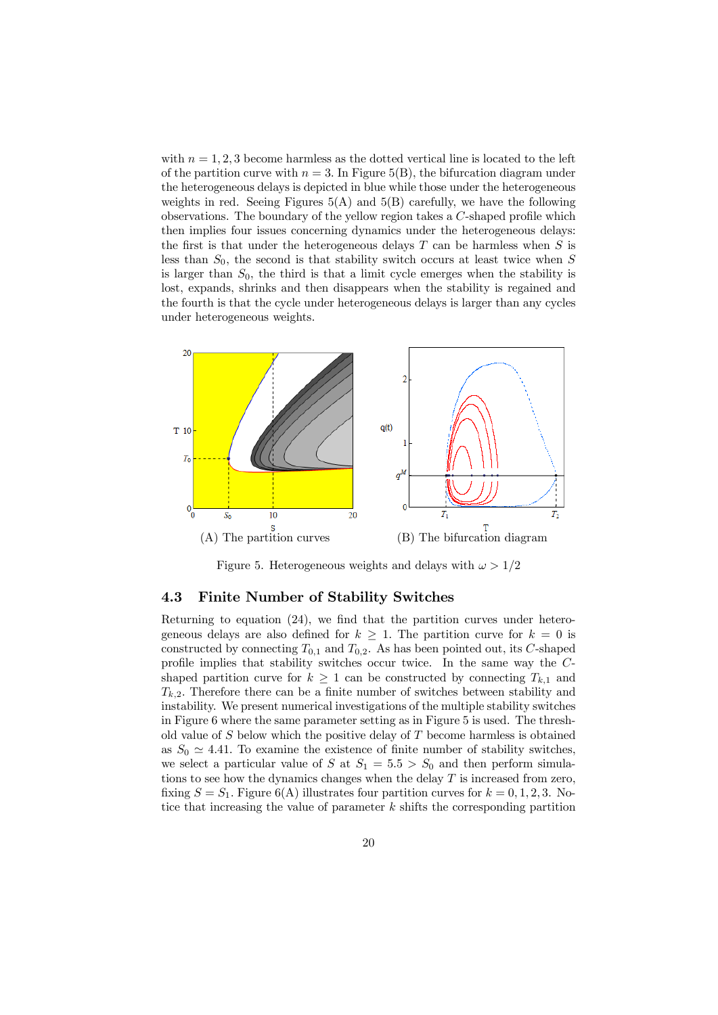with  $n = 1, 2, 3$  become harmless as the dotted vertical line is located to the left of the partition curve with  $n = 3$ . In Figure 5(B), the bifurcation diagram under the heterogeneous delays is depicted in blue while those under the heterogeneous weights in red. Seeing Figures  $5(A)$  and  $5(B)$  carefully, we have the following observations. The boundary of the yellow region takes a C-shaped profile which then implies four issues concerning dynamics under the heterogeneous delays: the first is that under the heterogeneous delays  $T$  can be harmless when  $S$  is less than  $S_0$ , the second is that stability switch occurs at least twice when S is larger than  $S_0$ , the third is that a limit cycle emerges when the stability is lost, expands, shrinks and then disappears when the stability is regained and the fourth is that the cycle under heterogeneous delays is larger than any cycles under heterogeneous weights.



Figure 5. Heterogeneous weights and delays with  $\omega > 1/2$ 

#### 4.3 Finite Number of Stability Switches

Returning to equation (24), we find that the partition curves under heterogeneous delays are also defined for  $k \geq 1$ . The partition curve for  $k = 0$  is constructed by connecting  $T_{0,1}$  and  $T_{0,2}$ . As has been pointed out, its C-shaped profile implies that stability switches occur twice. In the same way the Cshaped partition curve for  $k \geq 1$  can be constructed by connecting  $T_{k,1}$  and  $T_{k,2}$ . Therefore there can be a finite number of switches between stability and instability. We present numerical investigations of the multiple stability switches in Figure 6 where the same parameter setting as in Figure 5 is used. The threshold value of  $S$  below which the positive delay of  $T$  become harmless is obtained as  $S_0 \simeq 4.41$ . To examine the existence of finite number of stability switches, we select a particular value of S at  $S_1 = 5.5 > S_0$  and then perform simulations to see how the dynamics changes when the delay  $T$  is increased from zero, fixing  $S = S_1$ . Figure 6(A) illustrates four partition curves for  $k = 0, 1, 2, 3$ . Notice that increasing the value of parameter  $k$  shifts the corresponding partition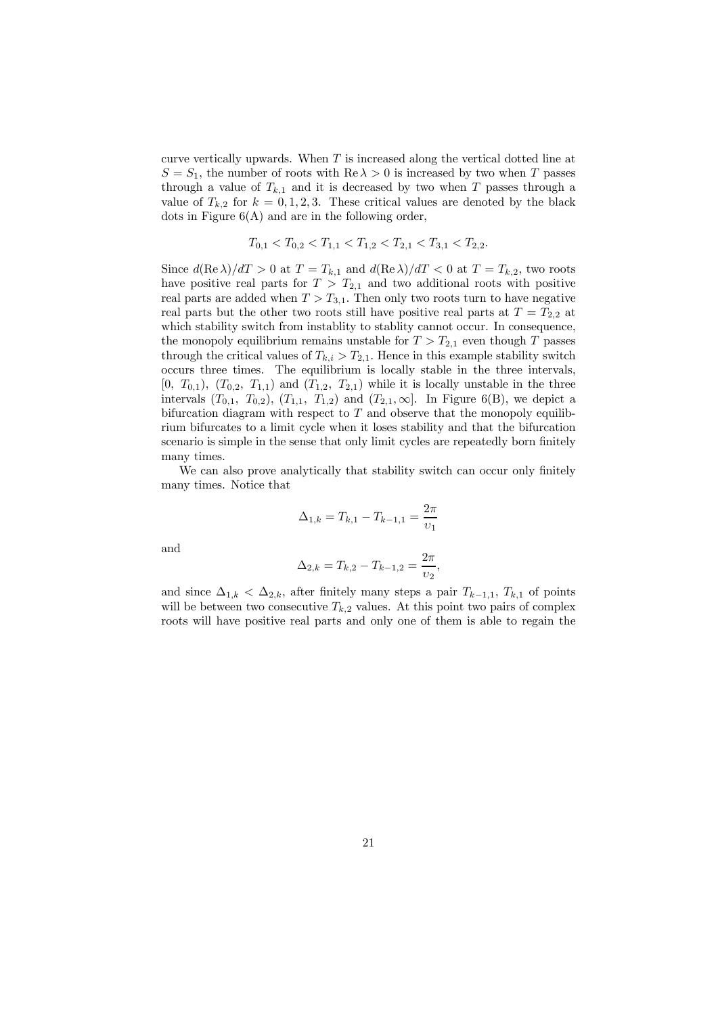curve vertically upwards. When  $T$  is increased along the vertical dotted line at  $S = S_1$ , the number of roots with  $\text{Re }\lambda > 0$  is increased by two when T passes through a value of  $T_{k,1}$  and it is decreased by two when T passes through a value of  $T_{k,2}$  for  $k = 0,1,2,3$ . These critical values are denoted by the black dots in Figure  $6(A)$  and are in the following order,

$$
T_{0,1} < T_{0,2} < T_{1,1} < T_{1,2} < T_{2,1} < T_{3,1} < T_{2,2}.
$$

Since  $d(\text{Re }\lambda)/dT > 0$  at  $T = T_{k,1}$  and  $d(\text{Re }\lambda)/dT < 0$  at  $T = T_{k,2}$ , two roots have positive real parts for  $T > T_{2,1}$  and two additional roots with positive real parts are added when  $T > T_{3,1}$ . Then only two roots turn to have negative real parts but the other two roots still have positive real parts at  $T = T_{2,2}$  at which stability switch from instablity to stablity cannot occur. In consequence, the monopoly equilibrium remains unstable for  $T > T_{2,1}$  even though T passes through the critical values of  $T_{k,i} > T_{2,1}$ . Hence in this example stability switch occurs three times. The equilibrium is locally stable in the three intervals,  $[0, T_{0,1}), (T_{0,2}, T_{1,1})$  and  $(T_{1,2}, T_{2,1})$  while it is locally unstable in the three intervals  $(T_{0,1}, T_{0,2})$ ,  $(T_{1,1}, T_{1,2})$  and  $(T_{2,1}, \infty]$ . In Figure 6(B), we depict a bifurcation diagram with respect to  $T$  and observe that the monopoly equilibrium bifurcates to a limit cycle when it loses stability and that the bifurcation scenario is simple in the sense that only limit cycles are repeatedly born finitely many times.

We can also prove analytically that stability switch can occur only finitely many times. Notice that

$$
\Delta_{1,k} = T_{k,1} - T_{k-1,1} = \frac{2\pi}{v_1}
$$

and

$$
\Delta_{2,k} = T_{k,2} - T_{k-1,2} = \frac{2\pi}{v_2},
$$

and since  $\Delta_{1,k} < \Delta_{2,k}$ , after finitely many steps a pair  $T_{k-1,1}$ ,  $T_{k,1}$  of points will be between two consecutive  $T_{k,2}$  values. At this point two pairs of complex roots will have positive real parts and only one of them is able to regain the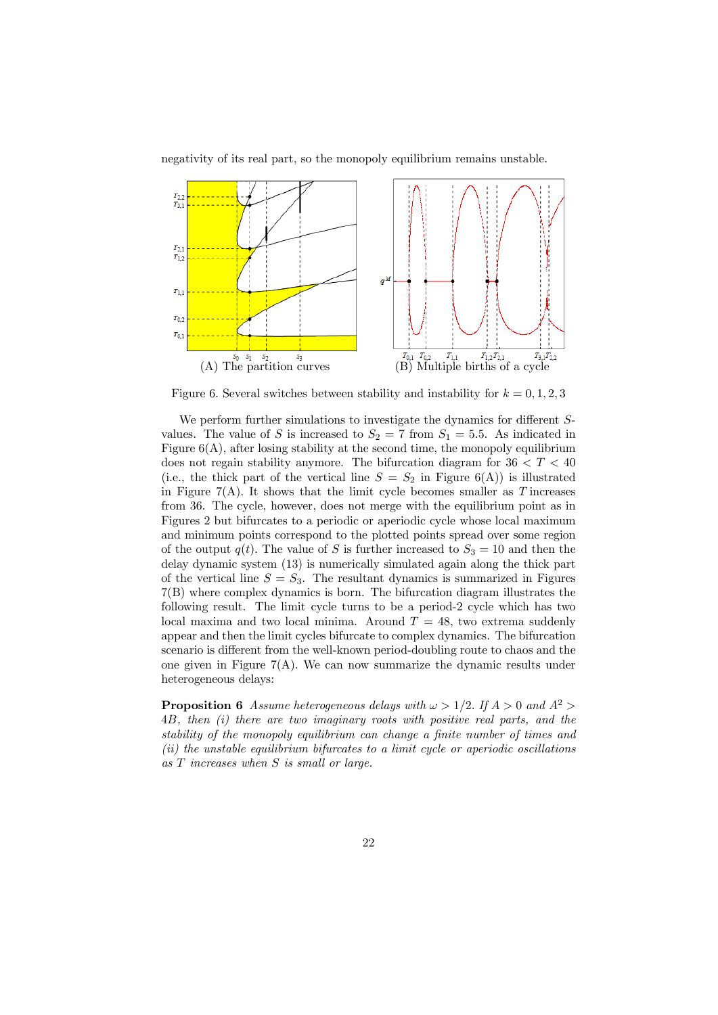negativity of its real part, so the monopoly equilibrium remains unstable.



Figure 6. Several switches between stability and instability for  $k = 0, 1, 2, 3$ 

We perform further simulations to investigate the dynamics for different Svalues. The value of S is increased to  $S_2 = 7$  from  $S_1 = 5.5$ . As indicated in Figure  $6(A)$ , after losing stability at the second time, the monopoly equilibrium does not regain stability anymore. The bifurcation diagram for  $36 < T < 40$ (i.e., the thick part of the vertical line  $S = S_2$  in Figure 6(A)) is illustrated in Figure  $7(A)$ . It shows that the limit cycle becomes smaller as T increases from 36. The cycle, however, does not merge with the equilibrium point as in Figures 2 but bifurcates to a periodic or aperiodic cycle whose local maximum and minimum points correspond to the plotted points spread over some region of the output  $q(t)$ . The value of S is further increased to  $S_3 = 10$  and then the delay dynamic system (13) is numerically simulated again along the thick part of the vertical line  $S = S_3$ . The resultant dynamics is summarized in Figures 7(B) where complex dynamics is born. The bifurcation diagram illustrates the following result. The limit cycle turns to be a period-2 cycle which has two local maxima and two local minima. Around  $T = 48$ , two extrema suddenly appear and then the limit cycles bifurcate to complex dynamics. The bifurcation scenario is different from the well-known period-doubling route to chaos and the one given in Figure  $7(A)$ . We can now summarize the dynamic results under heterogeneous delays:

**Proposition 6** *Assume heterogeneous delays with*  $\omega > 1/2$ . If  $A > 0$  and  $A^2 >$ 4B*, then (i) there are two imaginary roots with positive real parts, and the stability of the monopoly equilibrium can change a finite number of times and (ii) the unstable equilibrium bifurcates to a limit cycle or aperiodic oscillations as* T *increases when* S *is small or large.*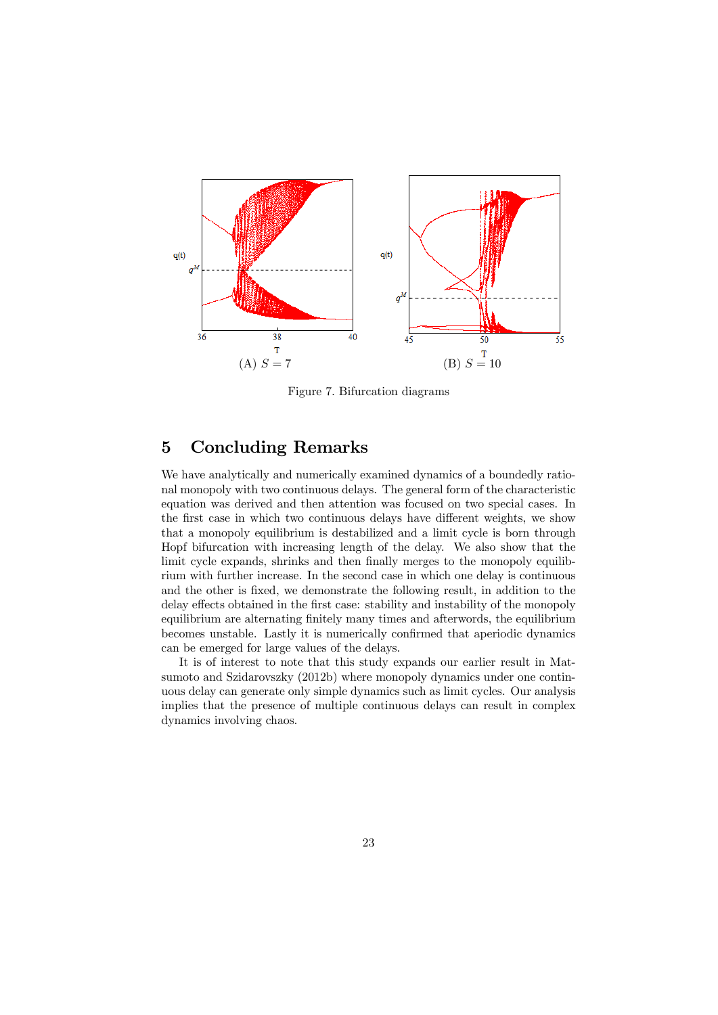

Figure 7. Bifurcation diagrams

# 5 Concluding Remarks

We have analytically and numerically examined dynamics of a boundedly rational monopoly with two continuous delays. The general form of the characteristic equation was derived and then attention was focused on two special cases. In the first case in which two continuous delays have different weights, we show that a monopoly equilibrium is destabilized and a limit cycle is born through Hopf bifurcation with increasing length of the delay. We also show that the limit cycle expands, shrinks and then finally merges to the monopoly equilibrium with further increase. In the second case in which one delay is continuous and the other is fixed, we demonstrate the following result, in addition to the delay effects obtained in the first case: stability and instability of the monopoly equilibrium are alternating finitely many times and afterwords, the equilibrium becomes unstable. Lastly it is numerically confirmed that aperiodic dynamics can be emerged for large values of the delays.

It is of interest to note that this study expands our earlier result in Matsumoto and Szidarovszky (2012b) where monopoly dynamics under one continuous delay can generate only simple dynamics such as limit cycles. Our analysis implies that the presence of multiple continuous delays can result in complex dynamics involving chaos.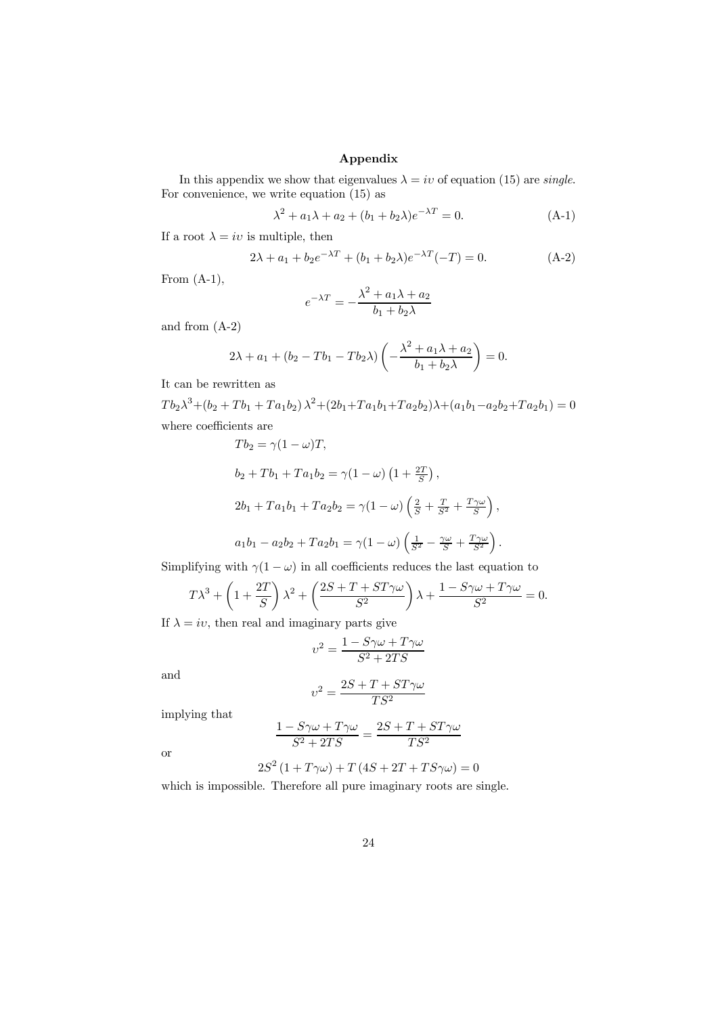### Appendix

In this appendix we show that eigenvalues  $\lambda = iv$  of equation (15) are *single*. For convenience, we write equation  $(15)$  as

$$
\lambda^{2} + a_{1}\lambda + a_{2} + (b_{1} + b_{2}\lambda)e^{-\lambda T} = 0.
$$
 (A-1)

,

If a root  $\lambda = iv$  is multiple, then

$$
2\lambda + a_1 + b_2 e^{-\lambda T} + (b_1 + b_2 \lambda) e^{-\lambda T}(-T) = 0.
$$
 (A-2)

From  $(A-1)$ ,

$$
e^{-\lambda T} = -\frac{\lambda^2 + a_1 \lambda + a_2}{b_1 + b_2 \lambda}
$$

and from (A-2)

$$
2\lambda + a_1 + (b_2 - Tb_1 - Tb_2\lambda) \left(-\frac{\lambda^2 + a_1\lambda + a_2}{b_1 + b_2\lambda}\right) = 0.
$$

It can be rewritten as

 $Tb_2\lambda^3 + (b_2 + Tb_1 + Ta_1b_2)\lambda^2 + (2b_1 + Ta_1b_1 + Ta_2b_2)\lambda + (a_1b_1 - a_2b_2 + Ta_2b_1) = 0$ where coefficients are

$$
Tb_2 = \gamma (1 - \omega)T,
$$
  
\n
$$
b_2 + Tb_1 + Ta_1b_2 = \gamma (1 - \omega) (1 + \frac{2T}{S}),
$$
  
\n
$$
2b_1 + Ta_1b_1 + Ta_2b_2 = \gamma (1 - \omega) (\frac{2}{S} + \frac{T}{S^2} + \frac{T\gamma\omega}{S}),
$$
  
\n
$$
a_1b_1 - a_2b_2 + Ta_2b_1 = \gamma (1 - \omega) (\frac{1}{S^2} - \frac{\gamma\omega}{S} + \frac{T\gamma\omega}{S^2}).
$$

Simplifying with  $\gamma(1 - \omega)$  in all coefficients reduces the last equation to

$$
T\lambda^3 + \left(1 + \frac{2T}{S}\right)\lambda^2 + \left(\frac{2S + T + ST\gamma\omega}{S^2}\right)\lambda + \frac{1 - S\gamma\omega + T\gamma\omega}{S^2} = 0.
$$

If  $\lambda = iv$ , then real and imaginary parts give

$$
v^2 = \frac{1 - S\gamma\omega + T\gamma\omega}{S^2 + 2TS}
$$

and

$$
\upsilon^2=\frac{2S+T+ST\gamma\omega}{TS^2}
$$

implying that

$$
\frac{1-S\gamma\omega+T\gamma\omega}{S^2+2TS}=\frac{2S+T+ST\gamma\omega}{TS^2}
$$

or

$$
2S^{2}(1+T\gamma\omega)+T(4S+2T+TS\gamma\omega)=0
$$

which is impossible. Therefore all pure imaginary roots are single.